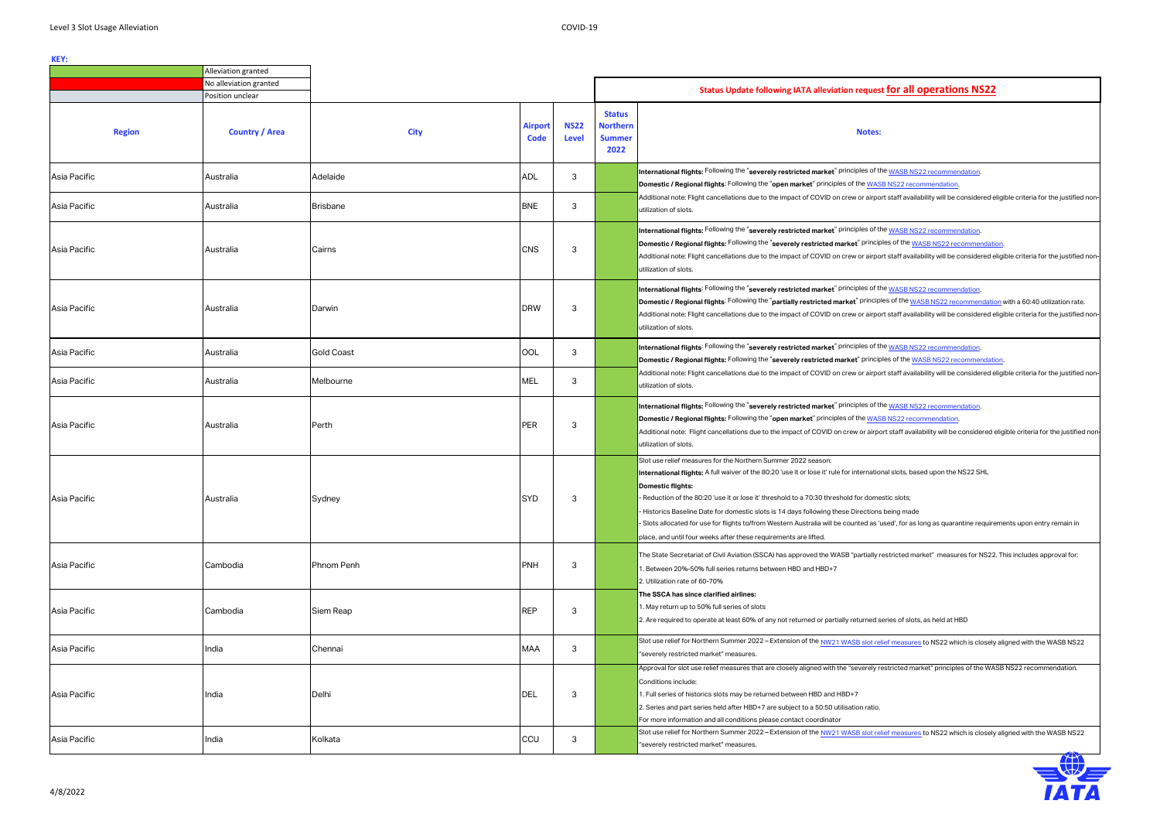**International flights:** A full waiver of the 80:20 'use it or lose it' rule for international slots, based upon the NS22 SHL

nestic slots;

ns being made

s 'used', for as long as quarantine requirements upon entry remain in

y restricted market" measures for NS22. This includes approval for:

l series of slots, as held at HBD

r<u>elief measures</u> to NS22 which is closely aligned with the WASB NS22

 $\gamma$  restricted market" principles of the WASB NS22 recommendation.

r<u>elief measures</u> to NS22 which is closely aligned with the WASB NS22



|               | Alleviation granted    |                   |                               |                      |                                                           |                                                                                                                                                                                                                                                                                                                                                                                                                                                                                                                                 |  |
|---------------|------------------------|-------------------|-------------------------------|----------------------|-----------------------------------------------------------|---------------------------------------------------------------------------------------------------------------------------------------------------------------------------------------------------------------------------------------------------------------------------------------------------------------------------------------------------------------------------------------------------------------------------------------------------------------------------------------------------------------------------------|--|
|               | No alleviation granted |                   |                               |                      |                                                           |                                                                                                                                                                                                                                                                                                                                                                                                                                                                                                                                 |  |
|               | Position unclear       |                   |                               |                      |                                                           | <b>Status Update following IATA alleviation reques</b>                                                                                                                                                                                                                                                                                                                                                                                                                                                                          |  |
| <b>Region</b> | <b>Country / Area</b>  | <b>City</b>       | <b>Airport</b><br><b>Code</b> | <b>NS22</b><br>Level | <b>Status</b><br><b>Northern</b><br><b>Summer</b><br>2022 | <b>Notes</b>                                                                                                                                                                                                                                                                                                                                                                                                                                                                                                                    |  |
| Asia Pacific  | Australia              | Adelaide          | <b>ADL</b>                    | 3                    |                                                           | International flights: Following the "severely restricted market" principles of t<br>Domestic / Regional flights: Following the "open market" principles of the WAS                                                                                                                                                                                                                                                                                                                                                             |  |
| Asia Pacific  | Australia              | <b>Brisbane</b>   | <b>BNE</b>                    | 3                    |                                                           | Additional note: Flight cancellations due to the impact of COVID on crew or airpo<br>utilization of slots.                                                                                                                                                                                                                                                                                                                                                                                                                      |  |
| Asia Pacific  | Australia              | Cairns            | <b>CNS</b>                    | 3                    |                                                           | International flights: Following the "severely restricted market" principles of t<br>Domestic / Regional flights: Following the "severely restricted market" princi<br>Additional note: Flight cancellations due to the impact of COVID on crew or airpo<br>utilization of slots.                                                                                                                                                                                                                                               |  |
| Asia Pacific  | Australia              | Darwin            | <b>DRW</b>                    | 3                    |                                                           | International flights: Following the "severely restricted market" principles of t<br>Domestic / Regional flights: Following the "partially restricted market" princip<br>Additional note: Flight cancellations due to the impact of COVID on crew or airpo<br>utilization of slots.                                                                                                                                                                                                                                             |  |
| Asia Pacific  | Australia              | <b>Gold Coast</b> | OOL                           | 3                    |                                                           | International flights: Following the "severely restricted market" principles of t<br>Domestic / Regional flights: Following the "severely restricted market" princi                                                                                                                                                                                                                                                                                                                                                             |  |
| Asia Pacific  | Australia              | Melbourne         | <b>MEL</b>                    | 3                    |                                                           | Additional note: Flight cancellations due to the impact of COVID on crew or airpo<br>utilization of slots.                                                                                                                                                                                                                                                                                                                                                                                                                      |  |
| Asia Pacific  | Australia              | Perth             | <b>PER</b>                    | 3                    |                                                           | International flights: Following the "severely restricted market" principles of t<br>Domestic / Regional flights: Following the "open market" principles of the WAS<br>Additional note: Flight cancellations due to the impact of COVID on crew or airp<br>utilization of slots.                                                                                                                                                                                                                                                |  |
| Asia Pacific  | Australia              | Sydney            | <b>SYD</b>                    | 3                    |                                                           | Slot use relief measures for the Northern Summer 2022 season:<br>International flights: A full waiver of the 80:20 'use it or lose it' rule for internation<br><b>Domestic flights:</b><br>- Reduction of the 80:20 'use it or lose it' threshold to a 70:30 threshold for dom<br>- Historics Baseline Date for domestic slots is 14 days following these Direction<br>- Slots allocated for use for flights to/from Western Australia will be counted as '<br>place, and until four weeks after these requirements are lifted. |  |
| Asia Pacific  | Cambodia               | Phnom Penh        | <b>PNH</b>                    | 3                    |                                                           | The State Secretariat of Civil Aviation (SSCA) has approved the WASB "partially<br>1. Between 20%-50% full series returns between HBD and HBD+7<br>2. Utilization rate of 60-70%                                                                                                                                                                                                                                                                                                                                                |  |
| Asia Pacific  | Cambodia               | Siem Reap         | <b>REP</b>                    | 3                    |                                                           | The SSCA has since clarified airlines:<br>1. May return up to 50% full series of slots<br>2. Are required to operate at least 60% of any not returned or partially returned s                                                                                                                                                                                                                                                                                                                                                   |  |
| Asia Pacific  | India                  | Chennai           | <b>MAA</b>                    | 3                    |                                                           | Slot use relief for Northern Summer 2022 - Extension of the NW21 WASB slot re<br>"severely restricted market" measures.                                                                                                                                                                                                                                                                                                                                                                                                         |  |
| Asia Pacific  | India                  | Delhi             | <b>DEL</b>                    | 3                    |                                                           | Approval for slot use relief measures that are closely aligned with the "severely r<br>Conditions include:<br>1. Full series of historics slots may be returned between HBD and HBD+7<br>2. Series and part series held after HBD+7 are subject to a 50:50 utilisation ratio<br>For more information and all conditions please contact coordinator                                                                                                                                                                              |  |
| Asia Pacific  | India                  | Kolkata           | CCU                           | 3                    |                                                           | Slot use relief for Northern Summer 2022 - Extension of the NW21 WASB slot re<br>"severely restricted market" measures.                                                                                                                                                                                                                                                                                                                                                                                                         |  |

### **Notes:**

**If the [WASB NS22 recommendation.](https://www.iata.org/contentassets/4820c05b19f148e2855db91f2a579369/wasb-slot-alleviation-measures-for-ns22.pdf)** 

**ASB NS22 recommendation** 

port staff availability will be considered eligible criteria for the justified non-

**If the <u>WASB NS22 recommendation</u>** 

 $\ddot{\text{e}}$  iples of the <u>WASB NS22 recommendation</u>.

port staff availability will be considered eligible criteria for the justified non-

**If the <u>WASB NS22 recommendation</u>** 

iples of the <u>WASB NS22 recommendation</u> with a 60:40 utilization rate.

port staff availability will be considered eligible criteria for the justified non-

**If the [WASB NS22 recommendation.](https://www.iata.org/contentassets/4820c05b19f148e2855db91f2a579369/wasb-slot-alleviation-measures-for-ns22.pdf)** 

**[Domestic / Regional flights:](https://www.iata.org/contentassets/4820c05b19f148e2855db91f2a579369/wasb-slot-alleviation-measures-for-ns22.pdf)** [Following the "](https://www.iata.org/contentassets/4820c05b19f148e2855db91f2a579369/wasb-slot-alleviation-measures-for-ns22.pdf)**[severely restricted market](https://www.iata.org/contentassets/4820c05b19f148e2855db91f2a579369/wasb-slot-alleviation-measures-for-ns22.pdf)**[" principles of the](https://www.iata.org/contentassets/4820c05b19f148e2855db91f2a579369/wasb-slot-alleviation-measures-for-ns22.pdf) [WASB NS22 recommendation.](https://www.iata.org/contentassets/4820c05b19f148e2855db91f2a579369/wasb-slot-alleviation-measures-for-ns22.pdf)

 $\overline{\text{post}}$  staff availability will be considered eligible criteria for the justified non-

**If the <u>WASB NS22 recommendation</u> ASB NS22 recommendation** 

port staff availability will be considered eligible criteria for the justified non-

# **Status for all operations NS22**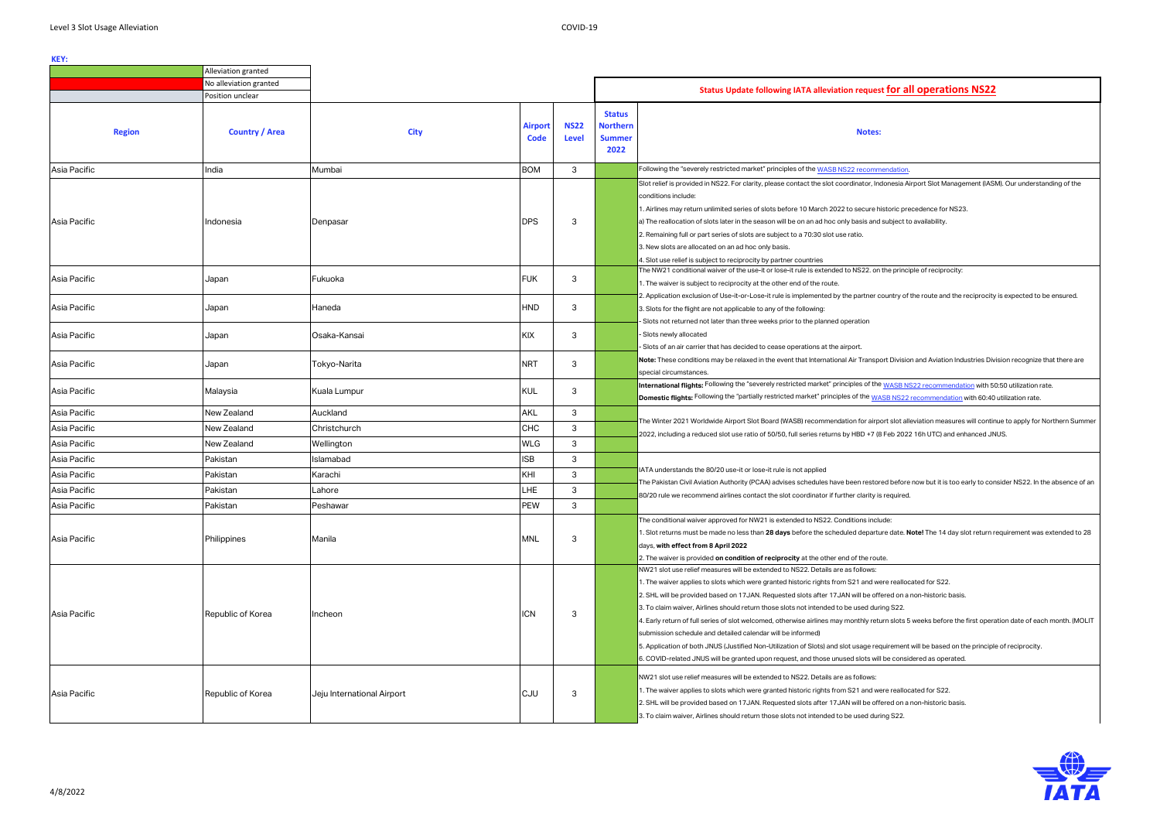Indonesia Airport Slot Management (IASM). Our understanding of the

historic precedence for NS23. nd subject to availability.

on the principle of reciprocity:

country of the route and the reciprocity is expected to be ensured.

port Division and Aviation Industries Division recognize that there are

he <u>WASB NS22 recommendation</u> with 50:50 utilization rate. **DOMESTIG FRIGHTS:** *NASB NS22 recommendation* with 60:40 utilization rate.

 $\overline{r}$ port slot alleviation measures will continue to apply for Northern Summer (8 Feb 2022 16h UTC) and enhanced JNUS.

ored before now but it is too early to consider NS22. In the absence of an  $\alpha$  is required.

1. Slot returns must be made no less than **28 days** before the scheduled departure date. **Note!** The 14 day slot return requirement was extended to 28

were reallocated for S22.

ffered on a non-historic basis.

turn slots 5 weeks before the first operation date of each month. (MOLIT

equirement will be based on the principle of reciprocity. vill be considered as operated.

were reallocated for S22.

ffered on a non-historic basis. ring S22.



|                              | Alleviation granted                    |                                       |                               |                             |                                                           |                                                                                                                                                                                                                                                                                                                                                                                                                                                                                                                                                                                                                                                                                                                                                                                                                                                                                                                                                                                                                                                                                                                      |
|------------------------------|----------------------------------------|---------------------------------------|-------------------------------|-----------------------------|-----------------------------------------------------------|----------------------------------------------------------------------------------------------------------------------------------------------------------------------------------------------------------------------------------------------------------------------------------------------------------------------------------------------------------------------------------------------------------------------------------------------------------------------------------------------------------------------------------------------------------------------------------------------------------------------------------------------------------------------------------------------------------------------------------------------------------------------------------------------------------------------------------------------------------------------------------------------------------------------------------------------------------------------------------------------------------------------------------------------------------------------------------------------------------------------|
|                              | No alleviation granted                 |                                       |                               |                             |                                                           | Status Update following IATA alleviation request for al                                                                                                                                                                                                                                                                                                                                                                                                                                                                                                                                                                                                                                                                                                                                                                                                                                                                                                                                                                                                                                                              |
|                              | Position unclear                       |                                       |                               |                             |                                                           |                                                                                                                                                                                                                                                                                                                                                                                                                                                                                                                                                                                                                                                                                                                                                                                                                                                                                                                                                                                                                                                                                                                      |
| <b>Region</b>                | <b>Country / Area</b>                  | <b>City</b>                           | <b>Airport</b><br><b>Code</b> | <b>NS22</b><br><b>Level</b> | <b>Status</b><br><b>Northern</b><br><b>Summer</b><br>2022 | <b>Notes:</b>                                                                                                                                                                                                                                                                                                                                                                                                                                                                                                                                                                                                                                                                                                                                                                                                                                                                                                                                                                                                                                                                                                        |
| Asia Pacific                 | India                                  | Mumbai                                | <b>BOM</b>                    | 3                           |                                                           | Following the "severely restricted market" principles of the WASB NS22 recommendation.                                                                                                                                                                                                                                                                                                                                                                                                                                                                                                                                                                                                                                                                                                                                                                                                                                                                                                                                                                                                                               |
| Asia Pacific                 | Indonesia                              | Denpasar                              | <b>DPS</b>                    | 3                           |                                                           | Slot relief is provided in NS22. For clarity, please contact the slot coordinator, Indonesia Ai<br>conditions include:<br>1. Airlines may return unlimited series of slots before 10 March 2022 to secure historic pre<br>a) The reallocation of slots later in the season will be on an ad hoc only basis and subject to<br>2. Remaining full or part series of slots are subject to a 70:30 slot use ratio.<br>3. New slots are allocated on an ad hoc only basis.<br>4. Slot use relief is subject to reciprocity by partner countries                                                                                                                                                                                                                                                                                                                                                                                                                                                                                                                                                                            |
| Asia Pacific                 | Japan                                  | Fukuoka                               | <b>FUK</b>                    | 3                           |                                                           | The NW21 conditional waiver of the use-it or lose-it rule is extended to NS22. on the princi<br>1. The waiver is subject to reciprocity at the other end of the route.                                                                                                                                                                                                                                                                                                                                                                                                                                                                                                                                                                                                                                                                                                                                                                                                                                                                                                                                               |
| Asia Pacific                 | Japan                                  | Haneda                                | <b>HND</b>                    | 3                           |                                                           | 2. Application exclusion of Use-it-or-Lose-it rule is implemented by the partner country of<br>3. Slots for the flight are not applicable to any of the following:<br>- Slots not returned not later than three weeks prior to the planned operation                                                                                                                                                                                                                                                                                                                                                                                                                                                                                                                                                                                                                                                                                                                                                                                                                                                                 |
| Asia Pacific                 | Japan                                  | Osaka-Kansai                          | KIX                           | 3                           |                                                           | - Slots newly allocated<br>Slots of an air carrier that has decided to cease operations at the airport.                                                                                                                                                                                                                                                                                                                                                                                                                                                                                                                                                                                                                                                                                                                                                                                                                                                                                                                                                                                                              |
| Asia Pacific                 | Japan                                  | Tokyo-Narita                          | <b>NRT</b>                    | 3                           |                                                           | Note: These conditions may be relaxed in the event that International Air Transport Divisio<br>special circumstances.                                                                                                                                                                                                                                                                                                                                                                                                                                                                                                                                                                                                                                                                                                                                                                                                                                                                                                                                                                                                |
| Asia Pacific                 | Malaysia                               | Kuala Lumpur                          | <b>KUL</b>                    | 3                           |                                                           | International flights: Following the "severely restricted market" principles of the WASB NS<br>Domestic flights: Following the "partially restricted market" principles of the WASB NS22                                                                                                                                                                                                                                                                                                                                                                                                                                                                                                                                                                                                                                                                                                                                                                                                                                                                                                                             |
| Asia Pacific                 | New Zealand                            | Auckland                              | <b>AKL</b>                    | 3                           |                                                           |                                                                                                                                                                                                                                                                                                                                                                                                                                                                                                                                                                                                                                                                                                                                                                                                                                                                                                                                                                                                                                                                                                                      |
| Asia Pacific                 | New Zealand                            | Christchurch                          | <b>CHC</b>                    | 3                           |                                                           | The Winter 2021 Worldwide Airport Slot Board (WASB) recommendation for airport slot all<br>2022, including a reduced slot use ratio of 50/50, full series returns by HBD +7 (8 Feb 2022                                                                                                                                                                                                                                                                                                                                                                                                                                                                                                                                                                                                                                                                                                                                                                                                                                                                                                                              |
| Asia Pacific                 | New Zealand                            | Wellington                            | <b>WLG</b>                    | 3                           |                                                           |                                                                                                                                                                                                                                                                                                                                                                                                                                                                                                                                                                                                                                                                                                                                                                                                                                                                                                                                                                                                                                                                                                                      |
| Asia Pacific                 | Pakistan                               | Islamabad                             | <b>ISB</b>                    | 3                           |                                                           |                                                                                                                                                                                                                                                                                                                                                                                                                                                                                                                                                                                                                                                                                                                                                                                                                                                                                                                                                                                                                                                                                                                      |
| Asia Pacific                 | Pakistan                               | Karachi                               | KHI                           | 3                           |                                                           | IATA understands the 80/20 use-it or lose-it rule is not applied                                                                                                                                                                                                                                                                                                                                                                                                                                                                                                                                                                                                                                                                                                                                                                                                                                                                                                                                                                                                                                                     |
| Asia Pacific                 | Pakistan                               | Lahore                                | <b>LHE</b>                    | 3                           |                                                           | The Pakistan Civil Aviation Authority (PCAA) advises schedules have been restored before<br>80/20 rule we recommend airlines contact the slot coordinator if further clarity is required.                                                                                                                                                                                                                                                                                                                                                                                                                                                                                                                                                                                                                                                                                                                                                                                                                                                                                                                            |
| Asia Pacific                 | Pakistan                               | Peshawar                              | <b>PEW</b>                    | 3                           |                                                           |                                                                                                                                                                                                                                                                                                                                                                                                                                                                                                                                                                                                                                                                                                                                                                                                                                                                                                                                                                                                                                                                                                                      |
| Asia Pacific                 | Philippines                            | Manila                                | <b>MNL</b>                    | 3                           |                                                           | The conditional waiver approved for NW21 is extended to NS22. Conditions include:<br>1. Slot returns must be made no less than 28 days before the scheduled departure date. N<br>days, with effect from 8 April 2022<br>2. The waiver is provided on condition of reciprocity at the other end of the route.                                                                                                                                                                                                                                                                                                                                                                                                                                                                                                                                                                                                                                                                                                                                                                                                         |
| Asia Pacific<br>Asia Pacific | Republic of Korea<br>Republic of Korea | Incheon<br>Jeju International Airport | <b>ICN</b><br><b>CJU</b>      | 3<br>3                      |                                                           | NW21 slot use relief measures will be extended to NS22. Details are as follows:<br>1. The waiver applies to slots which were granted historic rights from S21 and were realloc<br>2. SHL will be provided based on 17JAN. Requested slots after 17JAN will be offered on a<br>3. To claim waiver, Airlines should return those slots not intended to be used during S22.<br>4. Early return of full series of slot welcomed, otherwise airlines may monthly return slots 5<br>submission schedule and detailed calendar will be informed)<br>5. Application of both JNUS (Justified Non-Utilization of Slots) and slot usage requirement<br>6. COVID-related JNUS will be granted upon request, and those unused slots will be consident<br>NW21 slot use relief measures will be extended to NS22. Details are as follows:<br>1. The waiver applies to slots which were granted historic rights from S21 and were realloc<br>2. SHL will be provided based on 17JAN. Requested slots after 17JAN will be offered on a<br>3. To claim waiver, Airlines should return those slots not intended to be used during S22. |
|                              |                                        |                                       |                               |                             |                                                           |                                                                                                                                                                                                                                                                                                                                                                                                                                                                                                                                                                                                                                                                                                                                                                                                                                                                                                                                                                                                                                                                                                                      |

# **Position include for all operations NS22**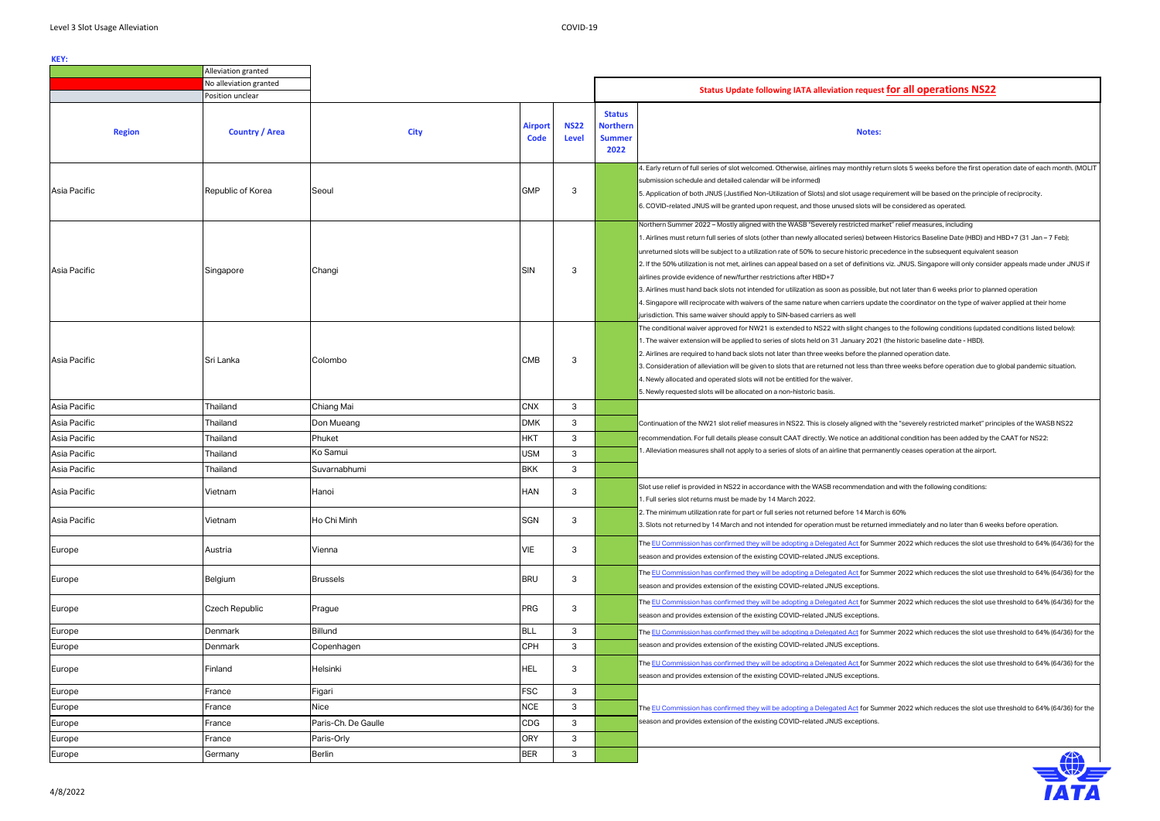### **Notes:**

eturn slots 5 weeks before the first operation date of each month. (MOLIT

equirement will be based on the principle of reciprocity.

 $\ddot{}$ ill be considered as operated.

arket" relief measures, including

.<br>ween Historics Baseline Date (HBD) and HBD+7 (31 Jan – 7 Feb);

recedence in the subsequent equivalent season

ons viz. JNUS. Singapore will only consider appeals made under JNUS if

. but not later than 6 weeks prior to planned operation date the coordinator on the type of waiver applied at their home

nges to the following conditions (updated conditions listed below): 21 (the historic baseline date - HBD).

an three weeks before operation due to global pandemic situation.

with the "severely restricted market" principles of the WASB NS22

dditional condition has been added by the CAAT for NS22:

nanently ceases operation at the airport.

ion and with the following conditions:

ned immediately and no later than 6 weeks before operation.

ummer 2022 which reduces the slot use threshold to 64% (64/36) for the

ummer 2022 which reduces the slot use threshold to 64% (64/36) for the

ummer 2022 which reduces the slot use threshold to 64% (64/36) for the

ummer 2022 which reduces the slot use threshold to 64% (64/36) for the

ummer 2022 which reduces the slot use threshold to 64% (64/36) for the

ummer 2022 which reduces the slot use threshold to 64% (64/36) for the

|               | Alleviation granted    |                     |                        |                             |                                                           |                                                                                                                                                                                                                                                                                                                                                                                                                                                                                                                                                                                                                                                                                                                                                                                                                               |
|---------------|------------------------|---------------------|------------------------|-----------------------------|-----------------------------------------------------------|-------------------------------------------------------------------------------------------------------------------------------------------------------------------------------------------------------------------------------------------------------------------------------------------------------------------------------------------------------------------------------------------------------------------------------------------------------------------------------------------------------------------------------------------------------------------------------------------------------------------------------------------------------------------------------------------------------------------------------------------------------------------------------------------------------------------------------|
|               | No alleviation granted |                     |                        |                             |                                                           | Status Update following IATA alleviation request for all operat                                                                                                                                                                                                                                                                                                                                                                                                                                                                                                                                                                                                                                                                                                                                                               |
|               | Position unclear       |                     |                        |                             |                                                           |                                                                                                                                                                                                                                                                                                                                                                                                                                                                                                                                                                                                                                                                                                                                                                                                                               |
| <b>Region</b> | <b>Country / Area</b>  | <b>City</b>         | <b>Airport</b><br>Code | <b>NS22</b><br><b>Level</b> | <b>Status</b><br><b>Northern</b><br><b>Summer</b><br>2022 | <b>Notes:</b>                                                                                                                                                                                                                                                                                                                                                                                                                                                                                                                                                                                                                                                                                                                                                                                                                 |
| Asia Pacific  | Republic of Korea      | Seoul               | <b>GMP</b>             | 3                           |                                                           | 4. Early return of full series of slot welcomed. Otherwise, airlines may monthly return slots 5 weeks befo<br>submission schedule and detailed calendar will be informed)<br>5. Application of both JNUS (Justified Non-Utilization of Slots) and slot usage requirement will be based<br>6. COVID-related JNUS will be granted upon request, and those unused slots will be considered as ope                                                                                                                                                                                                                                                                                                                                                                                                                                |
| Asia Pacific  | Singapore              | Changi              | <b>SIN</b>             | 3                           |                                                           | Northern Summer 2022 – Mostly aligned with the WASB "Severely restricted market" relief measures, ir<br>1. Airlines must return full series of slots (other than newly allocated series) between Historics Baseline<br>unreturned slots will be subject to a utilization rate of 50% to secure historic precedence in the subsequ<br>2. If the 50% utilization is not met, airlines can appeal based on a set of definitions viz. JNUS. Singapore<br>airlines provide evidence of new/further restrictions after HBD+7<br>3. Airlines must hand back slots not intended for utilization as soon as possible, but not later than 6 wee<br>4. Singapore will reciprocate with waivers of the same nature when carriers update the coordinator on t<br>jurisdiction. This same waiver should apply to SIN-based carriers as well |
| Asia Pacific  | Sri Lanka              | Colombo             | <b>CMB</b>             | 3                           |                                                           | The conditional waiver approved for NW21 is extended to NS22 with slight changes to the following cor<br>، 1. The waiver extension will be applied to series of slots held on 31 January 2021 (the historic baseline<br>2. Airlines are required to hand back slots not later than three weeks before the planned operation date<br>3. Consideration of alleviation will be given to slots that are returned not less than three weeks before o<br>4. Newly allocated and operated slots will not be entitled for the waiver.<br>5. Newly requested slots will be allocated on a non-historic basis.                                                                                                                                                                                                                          |
| Asia Pacific  | Thailand               | Chiang Mai          | <b>CNX</b>             | 3                           |                                                           |                                                                                                                                                                                                                                                                                                                                                                                                                                                                                                                                                                                                                                                                                                                                                                                                                               |
| Asia Pacific  | Thailand               | Don Mueang          | <b>DMK</b>             | 3                           |                                                           | Continuation of the NW21 slot relief measures in NS22. This is closely aligned with the "severely restric                                                                                                                                                                                                                                                                                                                                                                                                                                                                                                                                                                                                                                                                                                                     |
| Asia Pacific  | Thailand               | Phuket              | <b>HKT</b>             | 3                           |                                                           | recommendation. For full details please consult CAAT directly. We notice an additional condition has be                                                                                                                                                                                                                                                                                                                                                                                                                                                                                                                                                                                                                                                                                                                       |
| Asia Pacific  | Thailand               | Ko Samui            | <b>USM</b>             | 3                           |                                                           | 1. Alleviation measures shall not apply to a series of slots of an airline that permanently ceases operatio                                                                                                                                                                                                                                                                                                                                                                                                                                                                                                                                                                                                                                                                                                                   |
| Asia Pacific  | Thailand               | Suvarnabhumi        | <b>BKK</b>             | 3                           |                                                           |                                                                                                                                                                                                                                                                                                                                                                                                                                                                                                                                                                                                                                                                                                                                                                                                                               |
| Asia Pacific  | Vietnam                | Hanoi               | <b>HAN</b>             | 3                           |                                                           | Slot use relief is provided in NS22 in accordance with the WASB recommendation and with the following<br>1. Full series slot returns must be made by 14 March 2022.                                                                                                                                                                                                                                                                                                                                                                                                                                                                                                                                                                                                                                                           |
| Asia Pacific  | Vietnam                | Ho Chi Minh         | <b>SGN</b>             | 3                           |                                                           | 2. The minimum utilization rate for part or full series not returned before 14 March is 60%<br>3. Slots not returned by 14 March and not intended for operation must be returned immediately and no                                                                                                                                                                                                                                                                                                                                                                                                                                                                                                                                                                                                                           |
| Europe        | Austria                | Vienna              | VIE                    | 3                           |                                                           | The EU Commission has confirmed they will be adopting a Delegated Act for Summer 2022 which redu-<br>season and provides extension of the existing COVID-related JNUS exceptions.                                                                                                                                                                                                                                                                                                                                                                                                                                                                                                                                                                                                                                             |
| Europe        | Belgium                | <b>Brussels</b>     | <b>BRU</b>             | 3                           |                                                           | The EU Commission has confirmed they will be adopting a Delegated Act for Summer 2022 which redu<br>season and provides extension of the existing COVID-related JNUS exceptions.                                                                                                                                                                                                                                                                                                                                                                                                                                                                                                                                                                                                                                              |
| Europe        | <b>Czech Republic</b>  | Prague              | <b>PRG</b>             | 3                           |                                                           | The EU Commission has confirmed they will be adopting a Delegated Act for Summer 2022 which redue<br>season and provides extension of the existing COVID-related JNUS exceptions.                                                                                                                                                                                                                                                                                                                                                                                                                                                                                                                                                                                                                                             |
| Europe        | Denmark                | <b>Billund</b>      | <b>BLL</b>             | 3                           |                                                           | The EU Commission has confirmed they will be adopting a Delegated Act for Summer 2022 which redu                                                                                                                                                                                                                                                                                                                                                                                                                                                                                                                                                                                                                                                                                                                              |
| Europe        | Denmark                | Copenhagen          | <b>CPH</b>             | 3                           |                                                           | season and provides extension of the existing COVID-related JNUS exceptions.                                                                                                                                                                                                                                                                                                                                                                                                                                                                                                                                                                                                                                                                                                                                                  |
| Europe        | Finland                | Helsinki            | <b>HEL</b>             | 3                           |                                                           | The EU Commission has confirmed they will be adopting a Delegated Act for Summer 2022 which redu<br>season and provides extension of the existing COVID-related JNUS exceptions.                                                                                                                                                                                                                                                                                                                                                                                                                                                                                                                                                                                                                                              |
| Europe        | France                 | Figari              | <b>FSC</b>             | 3                           |                                                           |                                                                                                                                                                                                                                                                                                                                                                                                                                                                                                                                                                                                                                                                                                                                                                                                                               |
| Europe        | France                 | <b>Nice</b>         | <b>NCE</b>             | 3                           |                                                           | The EU Commission has confirmed they will be adopting a Delegated Act for Summer 2022 which redu                                                                                                                                                                                                                                                                                                                                                                                                                                                                                                                                                                                                                                                                                                                              |
| Europe        | France                 | Paris-Ch. De Gaulle | CDG                    | 3                           |                                                           | season and provides extension of the existing COVID-related JNUS exceptions.                                                                                                                                                                                                                                                                                                                                                                                                                                                                                                                                                                                                                                                                                                                                                  |
| Europe        | France                 | Paris-Orly          | <b>ORY</b>             | 3                           |                                                           |                                                                                                                                                                                                                                                                                                                                                                                                                                                                                                                                                                                                                                                                                                                                                                                                                               |
| Europe        | Germany                | Berlin              | <b>BER</b>             | 3                           |                                                           |                                                                                                                                                                                                                                                                                                                                                                                                                                                                                                                                                                                                                                                                                                                                                                                                                               |
|               |                        |                     |                        |                             |                                                           |                                                                                                                                                                                                                                                                                                                                                                                                                                                                                                                                                                                                                                                                                                                                                                                                                               |



# **Position include for all operations NS22**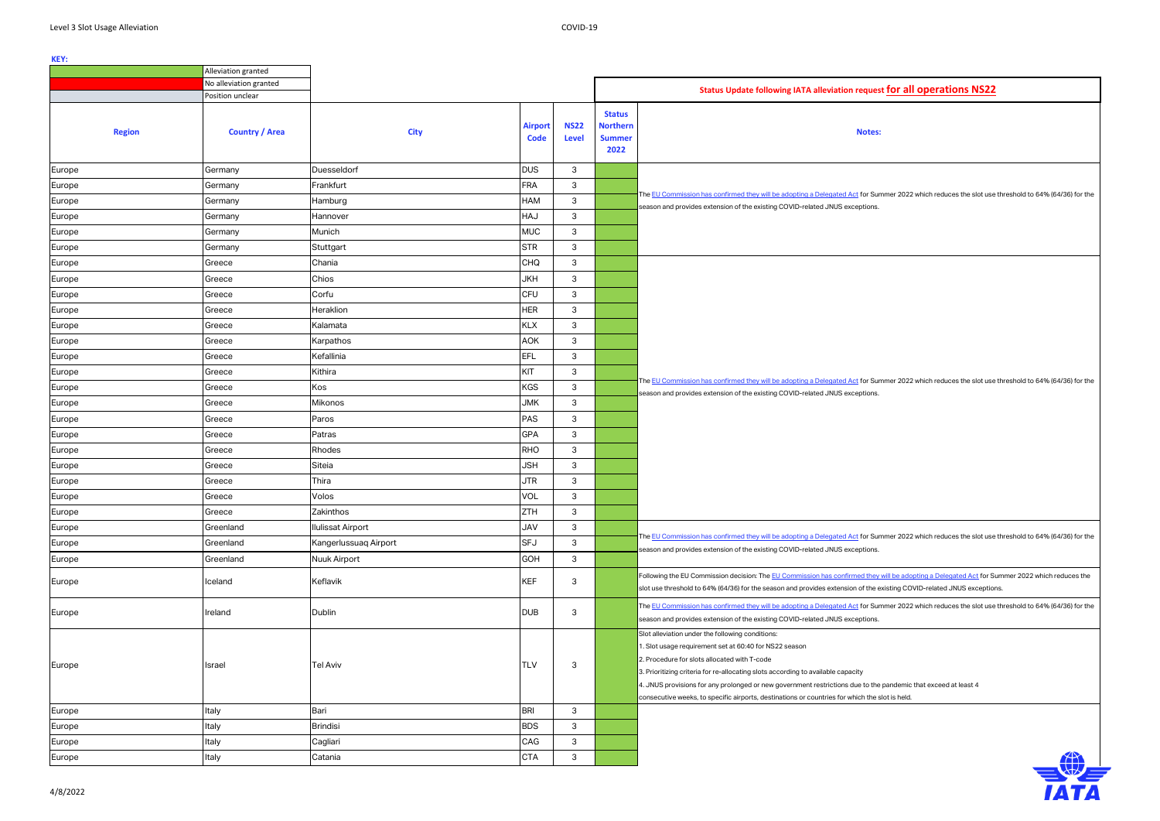**Notes:**

 $S$ ummer 2022 which reduces the slot use threshold to 64% (64/36) for the

Summer 2022 which reduces the slot use threshold to 64% (64/36) for the

Summer 2022 which reduces the slot use threshold to 64% (64/36) for the

ey will be adopting a Delegated Act for Summer 2022 which reduces the e existing COVID-related JNUS exceptions.

 $S$ ummer 2022 which reduces the slot use threshold to 64% (64/36) for the

the pandemic that exceed at least 4: eslot is held.



|               | Alleviation granted    |                          |                               |                             |                                                           |                                                                                                                                                                                                                                                                                                                                                                                                                      |
|---------------|------------------------|--------------------------|-------------------------------|-----------------------------|-----------------------------------------------------------|----------------------------------------------------------------------------------------------------------------------------------------------------------------------------------------------------------------------------------------------------------------------------------------------------------------------------------------------------------------------------------------------------------------------|
|               | No alleviation granted |                          |                               |                             |                                                           | <b>Status Update following IATA alleviation reque</b>                                                                                                                                                                                                                                                                                                                                                                |
|               | Position unclear       |                          |                               |                             |                                                           |                                                                                                                                                                                                                                                                                                                                                                                                                      |
| <b>Region</b> | <b>Country / Area</b>  | <b>City</b>              | <b>Airport</b><br><b>Code</b> | <b>NS22</b><br><b>Level</b> | <b>Status</b><br><b>Northern</b><br><b>Summer</b><br>2022 | <b>Notes</b>                                                                                                                                                                                                                                                                                                                                                                                                         |
| Europe        | Germany                | Duesseldorf              | <b>DUS</b>                    | 3                           |                                                           |                                                                                                                                                                                                                                                                                                                                                                                                                      |
| Europe        | Germany                | Frankfurt                | <b>FRA</b>                    | 3                           |                                                           |                                                                                                                                                                                                                                                                                                                                                                                                                      |
| Europe        | Germany                | Hamburg                  | HAM                           | 3                           |                                                           | The EU Commission has confirmed they will be adopting a Delegated Act for Su                                                                                                                                                                                                                                                                                                                                         |
| Europe        | Germany                | Hannover                 | HAJ                           | $\mathbf{3}$                |                                                           | season and provides extension of the existing COVID-related JNUS exceptions                                                                                                                                                                                                                                                                                                                                          |
| Europe        | Germany                | Munich                   | <b>MUC</b>                    | 3                           |                                                           |                                                                                                                                                                                                                                                                                                                                                                                                                      |
| Europe        | Germany                | Stuttgart                | <b>STR</b>                    | $\mathbf{3}$                |                                                           |                                                                                                                                                                                                                                                                                                                                                                                                                      |
| Europe        | Greece                 | Chania                   | CHQ                           | $\mathbf{3}$                |                                                           |                                                                                                                                                                                                                                                                                                                                                                                                                      |
| Europe        | Greece                 | Chios                    | <b>JKH</b>                    | $\mathbf{3}$                |                                                           |                                                                                                                                                                                                                                                                                                                                                                                                                      |
| Europe        | Greece                 | Corfu                    | <b>CFU</b>                    | 3                           |                                                           |                                                                                                                                                                                                                                                                                                                                                                                                                      |
| Europe        | Greece                 | Heraklion                | <b>HER</b>                    | 3                           |                                                           |                                                                                                                                                                                                                                                                                                                                                                                                                      |
| Europe        | Greece                 | Kalamata                 | <b>KLX</b>                    | $\mathbf{3}$                |                                                           |                                                                                                                                                                                                                                                                                                                                                                                                                      |
| Europe        | Greece                 | Karpathos                | AOK                           | $\mathbf{3}$                |                                                           |                                                                                                                                                                                                                                                                                                                                                                                                                      |
| Europe        | Greece                 | Kefallinia               | <b>EFL</b>                    | 3                           |                                                           |                                                                                                                                                                                                                                                                                                                                                                                                                      |
| Europe        | Greece                 | Kithira                  | KIT                           | $\mathbf{3}$                |                                                           |                                                                                                                                                                                                                                                                                                                                                                                                                      |
| Europe        | Greece                 | Kos                      | <b>KGS</b>                    | $\mathbf{3}$                |                                                           | The EU Commission has confirmed they will be adopting a Delegated Act for Su<br>season and provides extension of the existing COVID-related JNUS exceptions                                                                                                                                                                                                                                                          |
| Europe        | Greece                 | Mikonos                  | <b>JMK</b>                    | $\mathbf{3}$                |                                                           |                                                                                                                                                                                                                                                                                                                                                                                                                      |
| Europe        | Greece                 | Paros                    | <b>PAS</b>                    | $\mathbf{3}$                |                                                           |                                                                                                                                                                                                                                                                                                                                                                                                                      |
| Europe        | Greece                 | Patras                   | <b>GPA</b>                    | $\mathbf{3}$                |                                                           |                                                                                                                                                                                                                                                                                                                                                                                                                      |
| Europe        | Greece                 | Rhodes                   | <b>RHO</b>                    | 3                           |                                                           |                                                                                                                                                                                                                                                                                                                                                                                                                      |
| Europe        | Greece                 | Siteia                   | <b>JSH</b>                    | $\sqrt{3}$                  |                                                           |                                                                                                                                                                                                                                                                                                                                                                                                                      |
| Europe        | Greece                 | Thira                    | <b>JTR</b>                    | $\mathbf{3}$                |                                                           |                                                                                                                                                                                                                                                                                                                                                                                                                      |
| Europe        | Greece                 | Volos                    | VOL                           | 3                           |                                                           |                                                                                                                                                                                                                                                                                                                                                                                                                      |
| Europe        | Greece                 | Zakinthos                | <b>ZTH</b>                    | $\sqrt{3}$                  |                                                           |                                                                                                                                                                                                                                                                                                                                                                                                                      |
| Europe        | Greenland              | <b>Ilulissat Airport</b> | <b>JAV</b>                    | 3                           |                                                           |                                                                                                                                                                                                                                                                                                                                                                                                                      |
| Europe        | Greenland              | Kangerlussuaq Airport    | <b>SFJ</b>                    | 3                           |                                                           | The EU Commission has confirmed they will be adopting a Delegated Act for Su<br>season and provides extension of the existing COVID-related JNUS exceptions                                                                                                                                                                                                                                                          |
| Europe        | Greenland              | Nuuk Airport             | <b>GOH</b>                    | 3                           |                                                           |                                                                                                                                                                                                                                                                                                                                                                                                                      |
| Europe        | Iceland                | Keflavik                 | <b>KEF</b>                    | 3                           |                                                           | Following the EU Commission decision: The EU Commission has confirmed they<br>slot use threshold to 64% (64/36) for the season and provides extension of the                                                                                                                                                                                                                                                         |
| Europe        | Ireland                | Dublin                   | <b>DUB</b>                    | 3                           |                                                           | The EU Commission has confirmed they will be adopting a Delegated Act for Su<br>season and provides extension of the existing COVID-related JNUS exceptions                                                                                                                                                                                                                                                          |
| Europe        | Israel                 | <b>Tel Aviv</b>          | TLV                           | 3                           |                                                           | Slot alleviation under the following conditions:<br>1. Slot usage requirement set at 60:40 for NS22 season<br>2. Procedure for slots allocated with T-code<br>3. Prioritizing criteria for re-allocating slots according to available capacity<br>4. JNUS provisions for any prolonged or new government restrictions due to the<br>consecutive weeks, to specific airports, destinations or countries for which the |
| Europe        | Italy                  | Bari                     | <b>BRI</b>                    | 3                           |                                                           |                                                                                                                                                                                                                                                                                                                                                                                                                      |
| Europe        | Italy                  | <b>Brindisi</b>          | <b>BDS</b>                    | 3                           |                                                           |                                                                                                                                                                                                                                                                                                                                                                                                                      |
| Europe        | Italy                  | Cagliari                 | CAG                           | 3                           |                                                           |                                                                                                                                                                                                                                                                                                                                                                                                                      |
| Europe        | Italy                  | Catania                  | <b>CTA</b>                    | $\mathbf{3}$                |                                                           |                                                                                                                                                                                                                                                                                                                                                                                                                      |
|               |                        |                          |                               |                             |                                                           |                                                                                                                                                                                                                                                                                                                                                                                                                      |

# **Position unclear inclear inclear the formal designations IS22**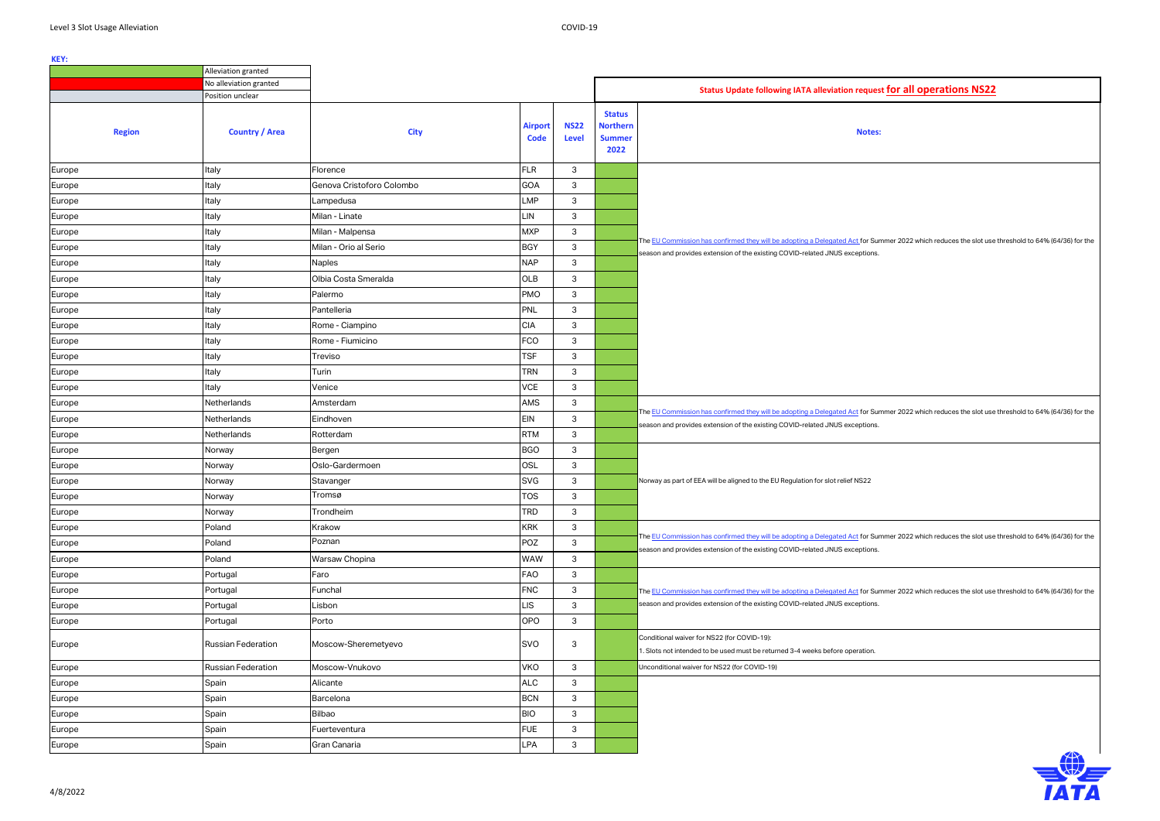Summer 2022 which reduces the slot use threshold to 64% (64/36) for the

 $S$ ummer 2022 which reduces the slot use threshold to 64% (64/36) for the

Summer 2022 which reduces the slot use threshold to 64% (64/36) for the

Summer 2022 which reduces the slot use threshold to 64% (64/36) for the

|               | Alleviation granted    |                           |                               |                             |                                                           |                                                                                                                                                                                                  |
|---------------|------------------------|---------------------------|-------------------------------|-----------------------------|-----------------------------------------------------------|--------------------------------------------------------------------------------------------------------------------------------------------------------------------------------------------------|
|               | No alleviation granted |                           |                               |                             |                                                           | Status Update following IATA alleviation request for all operations NS22                                                                                                                         |
|               | Position unclear       |                           |                               |                             |                                                           |                                                                                                                                                                                                  |
| <b>Region</b> | <b>Country / Area</b>  | <b>City</b>               | <b>Airport</b><br><b>Code</b> | <b>NS22</b><br><b>Level</b> | <b>Status</b><br><b>Northern</b><br><b>Summer</b><br>2022 | Notes:                                                                                                                                                                                           |
| Europe        | Italy                  | Florence                  | <b>FLR</b>                    | 3                           |                                                           |                                                                                                                                                                                                  |
| Europe        | Italy                  | Genova Cristoforo Colombo | GOA                           | 3                           |                                                           |                                                                                                                                                                                                  |
| Europe        | Italy                  | Lampedusa                 | LMP                           | 3                           |                                                           |                                                                                                                                                                                                  |
| Europe        | Italy                  | Milan - Linate            | .IN                           | 3                           |                                                           |                                                                                                                                                                                                  |
| Europe        | Italy                  | Milan - Malpensa          | <b>MXP</b>                    | 3                           |                                                           |                                                                                                                                                                                                  |
| Europe        | Italy                  | Milan - Orio al Serio     | <b>BGY</b>                    | 3                           |                                                           | The EU Commission has confirmed they will be adopting a Delegated Act for Summer 2022 which reduces the slot use<br>season and provides extension of the existing COVID-related JNUS exceptions. |
| Europe        | Italy                  | <b>Naples</b>             | <b>NAP</b>                    | $\ensuremath{\mathsf{3}}$   |                                                           |                                                                                                                                                                                                  |
| Europe        | Italy                  | Olbia Costa Smeralda      | OLB                           | 3                           |                                                           |                                                                                                                                                                                                  |
| Europe        | Italy                  | Palermo                   | <b>PMO</b>                    | 3                           |                                                           |                                                                                                                                                                                                  |
| Europe        | Italy                  | Pantelleria               | PNL                           | $\ensuremath{\mathsf{3}}$   |                                                           |                                                                                                                                                                                                  |
| Europe        | Italy                  | Rome - Ciampino           | <b>CIA</b>                    | 3                           |                                                           |                                                                                                                                                                                                  |
| Europe        | Italy                  | Rome - Fiumicino          | FCO                           | 3                           |                                                           |                                                                                                                                                                                                  |
| Europe        | Italy                  | Treviso                   | <b>TSF</b>                    | 3                           |                                                           |                                                                                                                                                                                                  |
| Europe        | Italy                  | Turin                     | <b>TRN</b>                    | 3                           |                                                           |                                                                                                                                                                                                  |
| Europe        | Italy                  | Venice                    | <b>VCE</b>                    | 3                           |                                                           |                                                                                                                                                                                                  |
| Europe        | Netherlands            | Amsterdam                 | AMS                           | 3                           |                                                           |                                                                                                                                                                                                  |
| Europe        | Netherlands            | Eindhoven                 | <b>EIN</b>                    | 3                           |                                                           | The EU Commission has confirmed they will be adopting a Delegated Act for Summer 2022 which reduces the slot use                                                                                 |
| Europe        | Netherlands            | Rotterdam                 | <b>RTM</b>                    | 3                           |                                                           | season and provides extension of the existing COVID-related JNUS exceptions.                                                                                                                     |
| Europe        | Norway                 | Bergen                    | <b>BGO</b>                    | 3                           |                                                           |                                                                                                                                                                                                  |
| Europe        | Norway                 | Oslo-Gardermoen           | <b>OSL</b>                    | 3                           |                                                           |                                                                                                                                                                                                  |
| Europe        | Norway                 | Stavanger                 | <b>SVG</b>                    | 3                           |                                                           | Norway as part of EEA will be aligned to the EU Regulation for slot relief NS22                                                                                                                  |
| Europe        | Norway                 | Tromsø                    | <b>TOS</b>                    | 3                           |                                                           |                                                                                                                                                                                                  |
| Europe        | Norway                 | Trondheim                 | <b>TRD</b>                    | $\ensuremath{\mathsf{3}}$   |                                                           |                                                                                                                                                                                                  |
| Europe        | Poland                 | Krakow                    | <b>KRK</b>                    | 3                           |                                                           |                                                                                                                                                                                                  |
| Europe        | Poland                 | Poznan                    | POZ                           | 3                           |                                                           | The EU Commission has confirmed they will be adopting a Delegated Act for Summer 2022 which reduces the slot use<br>season and provides extension of the existing COVID-related JNUS exceptions. |
| Europe        | Poland                 | Warsaw Chopina            | <b>WAW</b>                    | 3                           |                                                           |                                                                                                                                                                                                  |
| Europe        | Portugal               | Faro                      | FAO                           | 3                           |                                                           |                                                                                                                                                                                                  |
| Europe        | Portugal               | Funchal                   | <b>FNC</b>                    | 3                           |                                                           | The EU Commission has confirmed they will be adopting a Delegated Act for Summer 2022 which reduces the slot use                                                                                 |
| Europe        | Portugal               | Lisbon                    | .IS                           | 3                           |                                                           | season and provides extension of the existing COVID-related JNUS exceptions.                                                                                                                     |
| Europe        | Portugal               | Porto                     | <b>OPO</b>                    | 3                           |                                                           |                                                                                                                                                                                                  |
| Europe        | Russian Federation     | Moscow-Sheremetyevo       | SVO                           | 3                           |                                                           | Conditional waiver for NS22 (for COVID-19):<br>1. Slots not intended to be used must be returned 3-4 weeks before operation.                                                                     |
| Europe        | Russian Federation     | Moscow-Vnukovo            | <b>VKO</b>                    | 3                           |                                                           | Unconditional waiver for NS22 (for COVID-19)                                                                                                                                                     |
| Europe        | Spain                  | Alicante                  | <b>ALC</b>                    | 3                           |                                                           |                                                                                                                                                                                                  |
| Europe        | Spain                  | Barcelona                 | <b>BCN</b>                    | 3                           |                                                           |                                                                                                                                                                                                  |
| Europe        | Spain                  | Bilbao                    | <b>BIO</b>                    | 3                           |                                                           |                                                                                                                                                                                                  |
| Europe        | Spain                  | Fuerteventura             | <b>FUE</b>                    | 3                           |                                                           |                                                                                                                                                                                                  |
| Europe        | Spain                  | Gran Canaria              | LPA                           | 3                           |                                                           |                                                                                                                                                                                                  |
|               |                        |                           |                               |                             |                                                           |                                                                                                                                                                                                  |



|  |  |  |  |  | st for all operations NS22 |
|--|--|--|--|--|----------------------------|
|--|--|--|--|--|----------------------------|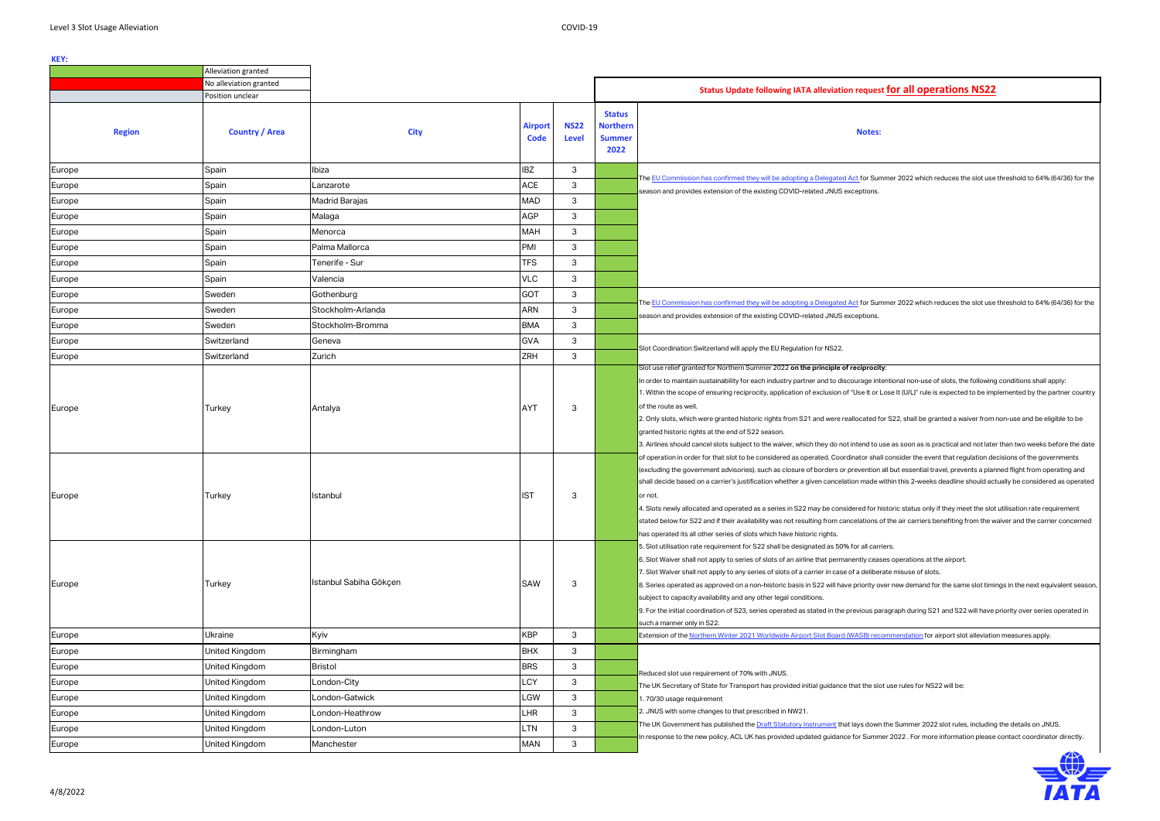### **Notes:**

ummer 2022 which reduces the slot use threshold to 64% (64/36) for the

 $\mu$ mmer 2022 which reduces the slot use threshold to 64% (64/36) for the

ntentional non-use of slots, the following conditions shall apply: r Lose It (U/L)" rule is expected to be implemented by the partner country

I for S22, shall be granted a waiver from non-use and be eligible to be

 $\overline{a}$  use as soon as is practical and not later than two weeks before the date all consider the event that regulation decisions of the governments n all but essential travel, prevents a planned flight from operating and e within this 2-weeks deadline should actually be considered as operated

historic status only if they meet the slot utilisation rate requirement s of the air carriers benefiting from the waiver and the carrier concerned

ases operations at the airport.

erate misuse of slots.

over new demand for the same slot timings in the next equivalent season,

paragraph during S21 and S22 will have priority over series operated in  $\,$ 

commendation for airport slot alleviation measures apply.

slot use rules for NS22 will be:

wh the Summer 2022 slot rules, including the details on JNUS. In er 2022 . For more information please contact coordinator directly.



|               | Alleviation granted    |                        |                               |                             |                                                           |                                                                                                                                                                                                                                                                                                                                                                                                                                                                                                                                                                                  |  |  |  |
|---------------|------------------------|------------------------|-------------------------------|-----------------------------|-----------------------------------------------------------|----------------------------------------------------------------------------------------------------------------------------------------------------------------------------------------------------------------------------------------------------------------------------------------------------------------------------------------------------------------------------------------------------------------------------------------------------------------------------------------------------------------------------------------------------------------------------------|--|--|--|
|               | No alleviation granted |                        |                               |                             |                                                           |                                                                                                                                                                                                                                                                                                                                                                                                                                                                                                                                                                                  |  |  |  |
|               | Position unclear       |                        |                               |                             |                                                           | Status Update following IATA alleviation request fo                                                                                                                                                                                                                                                                                                                                                                                                                                                                                                                              |  |  |  |
| <b>Region</b> | <b>Country / Area</b>  | <b>City</b>            | <b>Airport</b><br><b>Code</b> | <b>NS22</b><br><b>Level</b> | <b>Status</b><br><b>Northern</b><br><b>Summer</b><br>2022 | <b>Notes:</b>                                                                                                                                                                                                                                                                                                                                                                                                                                                                                                                                                                    |  |  |  |
| Europe        | Spain                  | Ibiza                  | <b>IBZ</b>                    | 3                           |                                                           |                                                                                                                                                                                                                                                                                                                                                                                                                                                                                                                                                                                  |  |  |  |
| Europe        | Spain                  | Lanzarote              | <b>ACE</b>                    | 3                           |                                                           | The EU Commission has confirmed they will be adopting a Delegated Act for Summer<br>season and provides extension of the existing COVID-related JNUS exceptions.                                                                                                                                                                                                                                                                                                                                                                                                                 |  |  |  |
| Europe        | Spain                  | Madrid Barajas         | <b>MAD</b>                    | 3                           |                                                           |                                                                                                                                                                                                                                                                                                                                                                                                                                                                                                                                                                                  |  |  |  |
| Europe        | Spain                  | Malaga                 | <b>AGP</b>                    | 3                           |                                                           |                                                                                                                                                                                                                                                                                                                                                                                                                                                                                                                                                                                  |  |  |  |
| Europe        | Spain                  | Menorca                | <b>MAH</b>                    | 3                           |                                                           |                                                                                                                                                                                                                                                                                                                                                                                                                                                                                                                                                                                  |  |  |  |
| Europe        | Spain                  | Palma Mallorca         | PMI                           | 3                           |                                                           |                                                                                                                                                                                                                                                                                                                                                                                                                                                                                                                                                                                  |  |  |  |
| Europe        | Spain                  | Tenerife - Sur         | <b>TFS</b>                    | 3                           |                                                           |                                                                                                                                                                                                                                                                                                                                                                                                                                                                                                                                                                                  |  |  |  |
| Europe        | Spain                  | Valencia               | <b>VLC</b>                    | 3                           |                                                           |                                                                                                                                                                                                                                                                                                                                                                                                                                                                                                                                                                                  |  |  |  |
| Europe        | Sweden                 | Gothenburg             | <b>GOT</b>                    | 3                           |                                                           |                                                                                                                                                                                                                                                                                                                                                                                                                                                                                                                                                                                  |  |  |  |
| Europe        | Sweden                 | Stockholm-Arlanda      | <b>ARN</b>                    | 3                           |                                                           | The EU Commission has confirmed they will be adopting a Delegated Act for Summer<br>season and provides extension of the existing COVID-related JNUS exceptions.                                                                                                                                                                                                                                                                                                                                                                                                                 |  |  |  |
| Europe        | Sweden                 | Stockholm-Bromma       | <b>BMA</b>                    | 3                           |                                                           |                                                                                                                                                                                                                                                                                                                                                                                                                                                                                                                                                                                  |  |  |  |
| Europe        | Switzerland            | Geneva                 | <b>GVA</b>                    | 3                           |                                                           |                                                                                                                                                                                                                                                                                                                                                                                                                                                                                                                                                                                  |  |  |  |
| Europe        | Switzerland            | Zurich                 | <b>ZRH</b>                    | $\mathsf 3$                 |                                                           | Slot Coordination Switzerland will apply the EU Regulation for NS22.                                                                                                                                                                                                                                                                                                                                                                                                                                                                                                             |  |  |  |
| Europe        | Turkey                 | Antalya                | <b>AYT</b>                    | 3                           |                                                           | Slot use relief granted for Northern Summer 2022 on the principle of reciprocity:<br>In order to maintain sustainability for each industry partner and to discourage intentic<br>1. Within the scope of ensuring reciprocity, application of exclusion of "Use It or Lose<br>of the route as well.<br>2. Only slots, which were granted historic rights from S21 and were reallocated for S2<br>granted historic rights at the end of S22 season.<br>3. Airlines should cancel slots subject to the waiver, which they do not intend to use a                                    |  |  |  |
| Europe        | Turkey                 | Istanbul               | <b>IST</b>                    | 3                           |                                                           | of operation in order for that slot to be considered as operated. Coordinator shall cor<br>(excluding the government advisories), such as closure of borders or prevention all b<br>shall decide based on a carrier's justification whether a given cancelation made withir<br>or not.<br>4. Slots newly allocated and operated as a series in S22 may be considered for histor<br>stated below for S22 and if their availability was not resulting from cancelations of the<br>has operated its all other series of slots which have historic rights.                           |  |  |  |
| Europe        | Turkey                 | Istanbul Sabiha Gökçen | <b>SAW</b>                    | 3                           |                                                           | 5. Slot utilisation rate requirement for S22 shall be designated as 50% for all carriers.<br>6. Slot Waiver shall not apply to series of slots of an airline that permanently ceases o<br>7. Slot Waiver shall not apply to any series of slots of a carrier in case of a deliberate r<br>8. Series operated as approved on a non-historic basis in S22 will have priority over n<br>subject to capacity availability and any other legal conditions.<br>9. For the initial coordination of S23, series operated as stated in the previous paragra<br>such a manner only in S22. |  |  |  |
| Europe        | Ukraine                | Kyiv                   | <b>KBP</b>                    | 3                           |                                                           | Extension of the Northern Winter 2021 Worldwide Airport Slot Board (WASB) recomm                                                                                                                                                                                                                                                                                                                                                                                                                                                                                                 |  |  |  |
| Europe        | United Kingdom         | Birmingham             | <b>BHX</b>                    | 3                           |                                                           |                                                                                                                                                                                                                                                                                                                                                                                                                                                                                                                                                                                  |  |  |  |
| Europe        | United Kingdom         | <b>Bristol</b>         | <b>BRS</b>                    | 3                           |                                                           | Reduced slot use requirement of 70% with JNUS.                                                                                                                                                                                                                                                                                                                                                                                                                                                                                                                                   |  |  |  |
| Europe        | United Kingdom         | London-City            | LCY                           | 3                           |                                                           | The UK Secretary of State for Transport has provided initial guidance that the slot us                                                                                                                                                                                                                                                                                                                                                                                                                                                                                           |  |  |  |
| Europe        | United Kingdom         | London-Gatwick         | LGW                           | 3                           |                                                           | 1.70/30 usage requirement                                                                                                                                                                                                                                                                                                                                                                                                                                                                                                                                                        |  |  |  |
| Europe        | United Kingdom         | London-Heathrow        | LHR                           | 3                           |                                                           | 2. JNUS with some changes to that prescribed in NW21.                                                                                                                                                                                                                                                                                                                                                                                                                                                                                                                            |  |  |  |
| Europe        | United Kingdom         | London-Luton           | LTN                           | 3                           |                                                           | The UK Government has published the <u>Draft Statutory Instrument</u> that lays down the                                                                                                                                                                                                                                                                                                                                                                                                                                                                                         |  |  |  |
| Europe        | United Kingdom         | Manchester             | <b>MAN</b>                    | 3                           |                                                           | In response to the new policy, ACL UK has provided updated guidance for Summer 2                                                                                                                                                                                                                                                                                                                                                                                                                                                                                                 |  |  |  |
|               |                        |                        |                               |                             |                                                           |                                                                                                                                                                                                                                                                                                                                                                                                                                                                                                                                                                                  |  |  |  |

## **Position include for all operations NS22**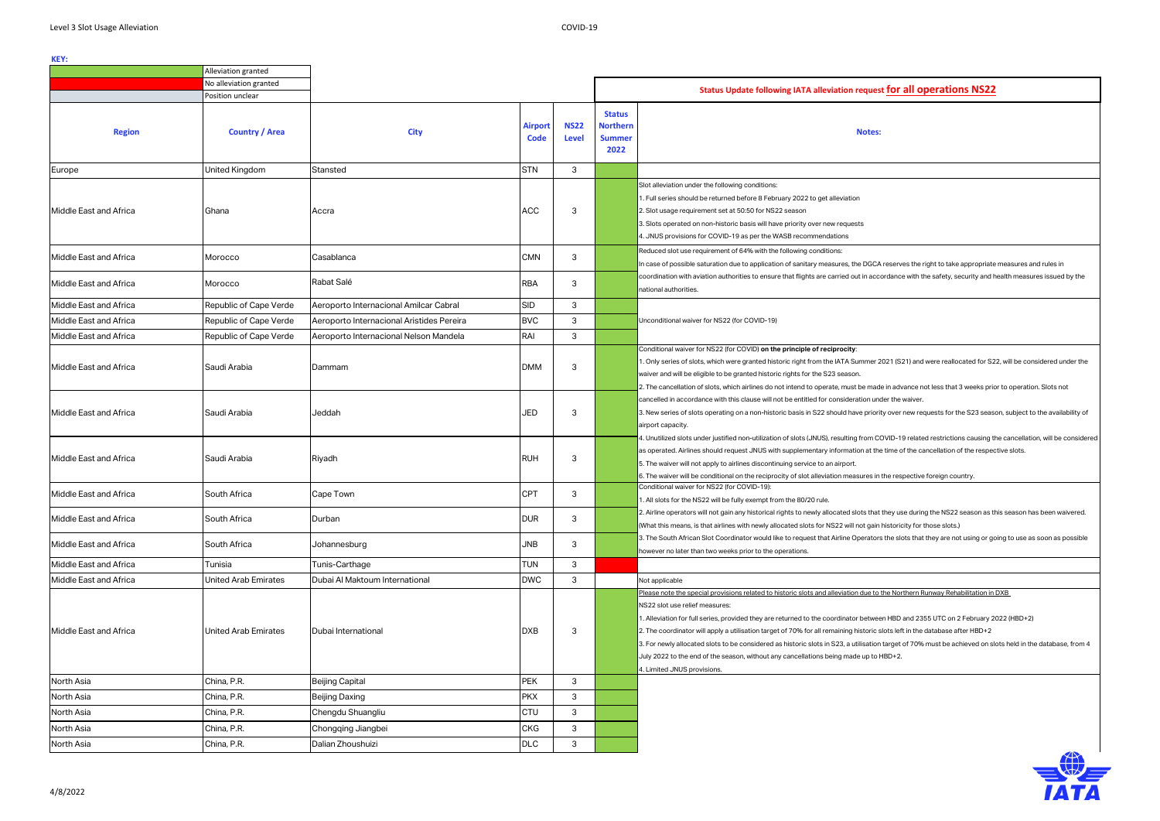|                        | Alleviation granted         |                                           |                        |                             |                                                           |                                                                                                                                                                                                                                                                                                                                                                                                                                                                                                                                                                                                                                                                                                                 |
|------------------------|-----------------------------|-------------------------------------------|------------------------|-----------------------------|-----------------------------------------------------------|-----------------------------------------------------------------------------------------------------------------------------------------------------------------------------------------------------------------------------------------------------------------------------------------------------------------------------------------------------------------------------------------------------------------------------------------------------------------------------------------------------------------------------------------------------------------------------------------------------------------------------------------------------------------------------------------------------------------|
|                        | No alleviation granted      |                                           |                        |                             |                                                           | Status Update following IATA alleviation request for all operations NS22                                                                                                                                                                                                                                                                                                                                                                                                                                                                                                                                                                                                                                        |
|                        | Position unclear            |                                           |                        |                             |                                                           |                                                                                                                                                                                                                                                                                                                                                                                                                                                                                                                                                                                                                                                                                                                 |
| <b>Region</b>          | <b>Country / Area</b>       | <b>City</b>                               | <b>Airport</b><br>Code | <b>NS22</b><br><b>Level</b> | <b>Status</b><br><b>Northern</b><br><b>Summer</b><br>2022 | <b>Notes:</b>                                                                                                                                                                                                                                                                                                                                                                                                                                                                                                                                                                                                                                                                                                   |
| Europe                 | <b>United Kingdom</b>       | Stansted                                  | <b>STN</b>             | 3                           |                                                           |                                                                                                                                                                                                                                                                                                                                                                                                                                                                                                                                                                                                                                                                                                                 |
| Middle East and Africa | Ghana                       | Accra                                     | <b>ACC</b>             | 3                           |                                                           | Slot alleviation under the following conditions:<br>I. Full series should be returned before 8 February 2022 to get alleviation<br>2. Slot usage requirement set at 50:50 for NS22 season<br>3. Slots operated on non-historic basis will have priority over new requests<br>4. JNUS provisions for COVID-19 as per the WASB recommendations                                                                                                                                                                                                                                                                                                                                                                    |
| Middle East and Africa | Morocco                     | Casablanca                                | <b>CMN</b>             | 3                           |                                                           | Reduced slot use requirement of 64% with the following conditions:<br>In case of possible saturation due to application of sanitary measures, the DGCA reserves the right to take appropriate measures and rules                                                                                                                                                                                                                                                                                                                                                                                                                                                                                                |
| Middle East and Africa | Morocco                     | Rabat Salé                                | <b>RBA</b>             | 3                           |                                                           | coordination with aviation authorities to ensure that flights are carried out in accordance with the safety, security and health measures issue<br>national authorities.                                                                                                                                                                                                                                                                                                                                                                                                                                                                                                                                        |
| Middle East and Africa | Republic of Cape Verde      | Aeroporto Internacional Amilcar Cabral    | <b>SID</b>             | 3                           |                                                           |                                                                                                                                                                                                                                                                                                                                                                                                                                                                                                                                                                                                                                                                                                                 |
| Middle East and Africa | Republic of Cape Verde      | Aeroporto Internacional Aristides Pereira | <b>BVC</b>             | $\mathbf{3}$                |                                                           | Unconditional waiver for NS22 (for COVID-19)                                                                                                                                                                                                                                                                                                                                                                                                                                                                                                                                                                                                                                                                    |
| Middle East and Africa | Republic of Cape Verde      | Aeroporto Internacional Nelson Mandela    | RAI                    | 3                           |                                                           |                                                                                                                                                                                                                                                                                                                                                                                                                                                                                                                                                                                                                                                                                                                 |
| Middle East and Africa | Saudi Arabia                | Dammam                                    | <b>DMM</b>             | 3                           |                                                           | Conditional waiver for NS22 (for COVID) on the principle of reciprocity:<br>1. Only series of slots, which were granted historic right from the IATA Summer 2021 (S21) and were reallocated for S22, will be considered<br>waiver and will be eligible to be granted historic rights for the S23 season.<br>2. The cancellation of slots, which airlines do not intend to operate, must be made in advance not less that 3 weeks prior to operation. Slots                                                                                                                                                                                                                                                      |
| Middle East and Africa | Saudi Arabia                | Jeddah                                    | <b>JED</b>             | 3                           |                                                           | cancelled in accordance with this clause will not be entitled for consideration under the waiver.<br>3. New series of slots operating on a non-historic basis in S22 should have priority over new requests for the S23 season, subject to the ava<br>airport capacity.                                                                                                                                                                                                                                                                                                                                                                                                                                         |
| Middle East and Africa | Saudi Arabia                | Riyadh                                    | <b>RUH</b>             | 3                           |                                                           | 1. Unutilized slots under justified non-utilization of slots (JNUS), resulting from COVID-19 related restrictions causing the cancellation, will b<br>as operated. Airlines should request JNUS with supplementary information at the time of the cancellation of the respective slots.<br>5. The waiver will not apply to airlines discontinuing service to an airport.<br>6. The waiver will be conditional on the reciprocity of slot alleviation measures in the respective foreign country.                                                                                                                                                                                                                |
| Middle East and Africa | South Africa                | Cape Town                                 | <b>CPT</b>             | 3                           |                                                           | Conditional waiver for NS22 (for COVID-19):<br>1. All slots for the NS22 will be fully exempt from the 80/20 rule.                                                                                                                                                                                                                                                                                                                                                                                                                                                                                                                                                                                              |
| Middle East and Africa | South Africa                | Durban                                    | <b>DUR</b>             | 3                           |                                                           | 2. Airline operators will not gain any historical rights to newly allocated slots that they use during the NS22 season as this season has been v<br>(What this means, is that airlines with newly allocated slots for NS22 will not gain historicity for those slots.)                                                                                                                                                                                                                                                                                                                                                                                                                                          |
| Middle East and Africa | South Africa                | Johannesburg                              | JNB                    | 3                           |                                                           | 3. The South African Slot Coordinator would like to request that Airline Operators the slots that they are not using or going to use as soon as<br>however no later than two weeks prior to the operations.                                                                                                                                                                                                                                                                                                                                                                                                                                                                                                     |
| Middle East and Africa | Tunisia                     | Tunis-Carthage                            | <b>TUN</b>             | 3                           |                                                           |                                                                                                                                                                                                                                                                                                                                                                                                                                                                                                                                                                                                                                                                                                                 |
| Middle East and Africa | <b>United Arab Emirates</b> | Dubai Al Maktoum International            | <b>DWC</b>             | 3                           |                                                           | Not applicable                                                                                                                                                                                                                                                                                                                                                                                                                                                                                                                                                                                                                                                                                                  |
| Middle East and Africa | <b>United Arab Emirates</b> | Dubai International                       | <b>DXB</b>             | 3                           |                                                           | Please note the special provisions related to historic slots and alleviation due to the Northern Runway Rehabilitation in DXB<br>NS22 slot use relief measures:<br>1. Alleviation for full series, provided they are returned to the coordinator between HBD and 2355 UTC on 2 February 2022 (HBD+2)<br>2. The coordinator will apply a utilisation target of 70% for all remaining historic slots left in the database after HBD+2<br>3. For newly allocated slots to be considered as historic slots in S23, a utilisation target of 70% must be achieved on slots held in the databa<br>July 2022 to the end of the season, without any cancellations being made up to HBD+2.<br>4. Limited JNUS provisions. |
| North Asia             | China, P.R.                 | <b>Beijing Capital</b>                    | <b>PEK</b>             | 3                           |                                                           |                                                                                                                                                                                                                                                                                                                                                                                                                                                                                                                                                                                                                                                                                                                 |
| North Asia             | China, P.R.                 | <b>Beijing Daxing</b>                     | <b>PKX</b>             | 3                           |                                                           |                                                                                                                                                                                                                                                                                                                                                                                                                                                                                                                                                                                                                                                                                                                 |
| North Asia             | China, P.R.                 | Chengdu Shuangliu                         | CTU                    | 3                           |                                                           |                                                                                                                                                                                                                                                                                                                                                                                                                                                                                                                                                                                                                                                                                                                 |
| North Asia             | China, P.R.                 | Chongqing Jiangbei                        | <b>CKG</b>             | 3                           |                                                           |                                                                                                                                                                                                                                                                                                                                                                                                                                                                                                                                                                                                                                                                                                                 |
| North Asia             | China, P.R.                 | Dalian Zhoushuizi                         | DLC                    | 3                           |                                                           |                                                                                                                                                                                                                                                                                                                                                                                                                                                                                                                                                                                                                                                                                                                 |
|                        |                             |                                           |                        |                             |                                                           |                                                                                                                                                                                                                                                                                                                                                                                                                                                                                                                                                                                                                                                                                                                 |

# **Position include include to uncle for all operations NS22**

 $\mathsf k$  reserves the right to take appropriate measures and rules in  $\rm{c}$ ordance with the safety, security and health measures issued by the

 $\sim$  2021 (S21) and were reallocated for S22, will be considered under the

1de in advance not less that 3 weeks prior to operation. Slots not nder the waiver.

 $\overline{\phantom{a}}$  orer new requests for the S23 season, subject to the availability of

COVID-19 related restrictions causing the cancellation, will be considered he time of the cancellation of the respective slots.

t they use during the NS22 season as this season has been waivered. historicity for those slots.)

ors the slots that they are not using or going to use as soon as possible

 $\,$ n target of 70% must be achieved on slots held in the database, from 4

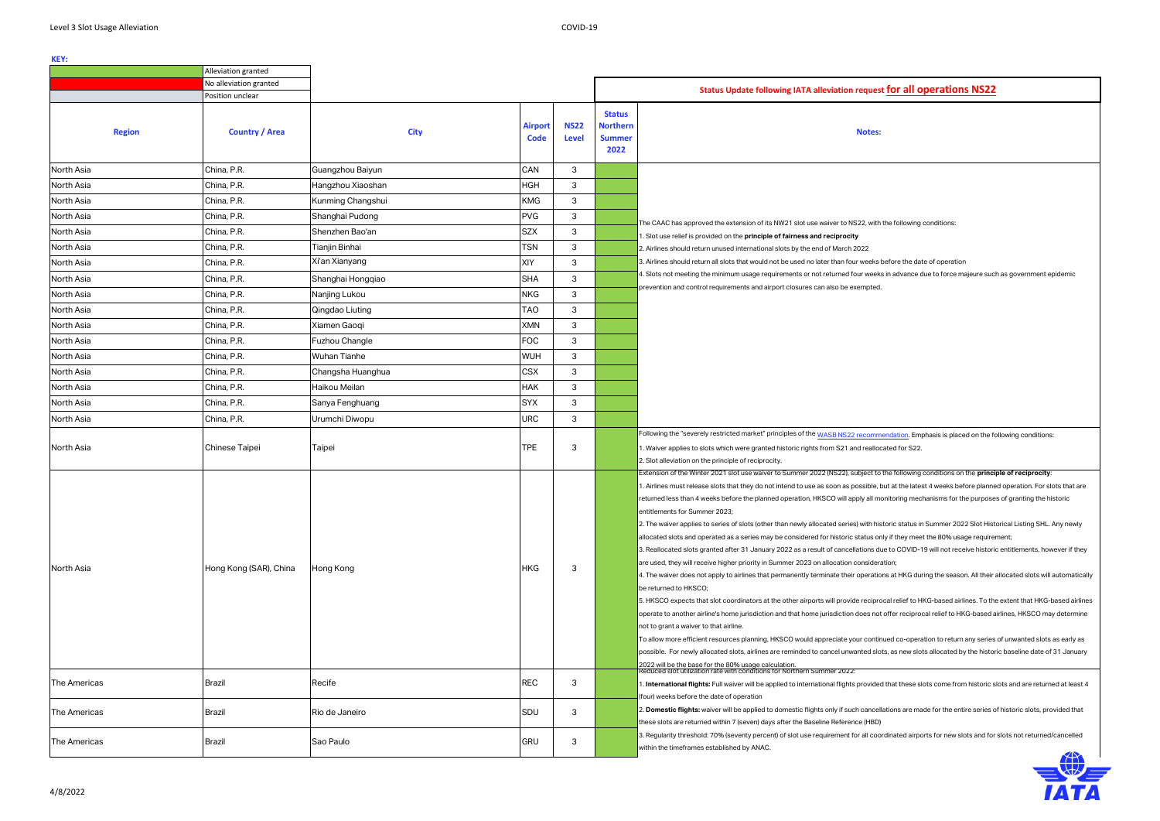th the following conditions:

s before the date of operation

eks in advance due to force majeure such as government epidemic

mendation. Emphasis is placed on the following conditions: ocated for S22.

to the following conditions on the **principle of reciprocity**:

e, but at the latest 4 weeks before planned operation. For slots that are monitoring mechanisms for the purposes of granting the historic

historic status in Summer 2022 Slot Historical Listing SHL. Any newly only if they meet the 80% usage requirement;

due to COVID-19 will not receive historic entitlements, however if they

tions at HKG during the season. All their allocated slots will automatically

 $\sigma$  rocal relief to HKG-based airlines. To the extent that HKG-based airlines. ot offer reciprocal relief to HKG-based airlines, HKSCO may determine

tinued co-operation to return any series of unwanted slots as early as  $s$ lots, as new slots allocated by the historic baseline date of 31 January

led that these slots come from historic slots and are returned at least 4

ellations are made for the entire series of historic slots, provided that

3. aregularity of airports for new slots and for slots not returned/cancelled

|                     | Alleviation granted    |                     |                               |                             |                                                           |                                                                                                                                                                                                                                                                                                                                                                                                                                                                                                                                                                                                                                                                                                                                                                                                                                                                                                                                                          |
|---------------------|------------------------|---------------------|-------------------------------|-----------------------------|-----------------------------------------------------------|----------------------------------------------------------------------------------------------------------------------------------------------------------------------------------------------------------------------------------------------------------------------------------------------------------------------------------------------------------------------------------------------------------------------------------------------------------------------------------------------------------------------------------------------------------------------------------------------------------------------------------------------------------------------------------------------------------------------------------------------------------------------------------------------------------------------------------------------------------------------------------------------------------------------------------------------------------|
|                     | No alleviation granted |                     |                               |                             |                                                           | Status Update following IATA alleviation request fo                                                                                                                                                                                                                                                                                                                                                                                                                                                                                                                                                                                                                                                                                                                                                                                                                                                                                                      |
|                     | Position unclear       |                     |                               |                             |                                                           |                                                                                                                                                                                                                                                                                                                                                                                                                                                                                                                                                                                                                                                                                                                                                                                                                                                                                                                                                          |
| <b>Region</b>       | <b>Country / Area</b>  | <b>City</b>         | <b>Airport</b><br><b>Code</b> | <b>NS22</b><br><b>Level</b> | <b>Status</b><br><b>Northern</b><br><b>Summer</b><br>2022 | <b>Notes:</b>                                                                                                                                                                                                                                                                                                                                                                                                                                                                                                                                                                                                                                                                                                                                                                                                                                                                                                                                            |
| North Asia          | China, P.R.            | Guangzhou Baiyun    | CAN                           | 3                           |                                                           |                                                                                                                                                                                                                                                                                                                                                                                                                                                                                                                                                                                                                                                                                                                                                                                                                                                                                                                                                          |
| North Asia          | China, P.R.            | Hangzhou Xiaoshan   | <b>HGH</b>                    | 3                           |                                                           |                                                                                                                                                                                                                                                                                                                                                                                                                                                                                                                                                                                                                                                                                                                                                                                                                                                                                                                                                          |
| North Asia          | China, P.R.            | Kunming Changshui   | <b>KMG</b>                    | 3                           |                                                           |                                                                                                                                                                                                                                                                                                                                                                                                                                                                                                                                                                                                                                                                                                                                                                                                                                                                                                                                                          |
| North Asia          | China, P.R.            | Shanghai Pudong     | <b>PVG</b>                    | 3                           |                                                           |                                                                                                                                                                                                                                                                                                                                                                                                                                                                                                                                                                                                                                                                                                                                                                                                                                                                                                                                                          |
| North Asia          | China, P.R.            | Shenzhen Bao'an     | <b>SZX</b>                    | 3                           |                                                           | The CAAC has approved the extension of its NW21 slot use waiver to NS22, with the f<br>1. Slot use relief is provided on the principle of fairness and reciprocity                                                                                                                                                                                                                                                                                                                                                                                                                                                                                                                                                                                                                                                                                                                                                                                       |
| North Asia          | China, P.R.            | Tianjin Binhai      | <b>TSN</b>                    | 3                           |                                                           | 2. Airlines should return unused international slots by the end of March 2022                                                                                                                                                                                                                                                                                                                                                                                                                                                                                                                                                                                                                                                                                                                                                                                                                                                                            |
| North Asia          | China, P.R.            | Xi'an Xianyang      | XIY                           | 3                           |                                                           | 3. Airlines should return all slots that would not be used no later than four weeks befor                                                                                                                                                                                                                                                                                                                                                                                                                                                                                                                                                                                                                                                                                                                                                                                                                                                                |
| North Asia          | China, P.R.            | Shanghai Hongqiao   | <b>SHA</b>                    | 3                           |                                                           | 4. Slots not meeting the minimum usage requirements or not returned four weeks in a                                                                                                                                                                                                                                                                                                                                                                                                                                                                                                                                                                                                                                                                                                                                                                                                                                                                      |
| North Asia          | China, P.R.            | Nanjing Lukou       | <b>NKG</b>                    | 3                           |                                                           | prevention and control requirements and airport closures can also be exempted.                                                                                                                                                                                                                                                                                                                                                                                                                                                                                                                                                                                                                                                                                                                                                                                                                                                                           |
| North Asia          | China, P.R.            | Qingdao Liuting     | <b>TAO</b>                    | 3                           |                                                           |                                                                                                                                                                                                                                                                                                                                                                                                                                                                                                                                                                                                                                                                                                                                                                                                                                                                                                                                                          |
| North Asia          | China, P.R.            | Xiamen Gaoqi        | <b>XMN</b>                    | 3                           |                                                           |                                                                                                                                                                                                                                                                                                                                                                                                                                                                                                                                                                                                                                                                                                                                                                                                                                                                                                                                                          |
| North Asia          | China, P.R.            | Fuzhou Changle      | <b>FOC</b>                    | $\mathbf{3}$                |                                                           |                                                                                                                                                                                                                                                                                                                                                                                                                                                                                                                                                                                                                                                                                                                                                                                                                                                                                                                                                          |
| North Asia          | China, P.R.            | <b>Wuhan Tianhe</b> | <b>WUH</b>                    | 3                           |                                                           |                                                                                                                                                                                                                                                                                                                                                                                                                                                                                                                                                                                                                                                                                                                                                                                                                                                                                                                                                          |
| North Asia          | China, P.R.            | Changsha Huanghua   | <b>CSX</b>                    | 3                           |                                                           |                                                                                                                                                                                                                                                                                                                                                                                                                                                                                                                                                                                                                                                                                                                                                                                                                                                                                                                                                          |
| North Asia          | China, P.R.            | Haikou Meilan       | <b>HAK</b>                    | 3                           |                                                           |                                                                                                                                                                                                                                                                                                                                                                                                                                                                                                                                                                                                                                                                                                                                                                                                                                                                                                                                                          |
| North Asia          | China, P.R.            | Sanya Fenghuang     | <b>SYX</b>                    | 3                           |                                                           |                                                                                                                                                                                                                                                                                                                                                                                                                                                                                                                                                                                                                                                                                                                                                                                                                                                                                                                                                          |
| North Asia          | China, P.R.            | Urumchi Diwopu      | <b>URC</b>                    | 3                           |                                                           |                                                                                                                                                                                                                                                                                                                                                                                                                                                                                                                                                                                                                                                                                                                                                                                                                                                                                                                                                          |
| North Asia          | Chinese Taipei         | Taipei              | <b>TPE</b>                    | 3                           |                                                           | Following the "severely restricted market" principles of the WASB NS22 recommenda<br>1. Waiver applies to slots which were granted historic rights from S21 and reallocated<br>2. Slot alleviation on the principle of reciprocity.<br>Extension of the Winter 2021 slot use waiver to Summer 2022 (NS22), subject to the f<br>1. Airlines must release slots that they do not intend to use as soon as possible, but at<br>returned less than 4 weeks before the planned operation, HKSCO will apply all monitor<br>entitlements for Summer 2023;<br>2. The waiver applies to series of slots (other than newly allocated series) with historic                                                                                                                                                                                                                                                                                                         |
| North Asia          | Hong Kong (SAR), China | Hong Kong           | <b>HKG</b>                    | 3                           |                                                           | allocated slots and operated as a series may be considered for historic status only if t<br>3. Reallocated slots granted after 31 January 2022 as a result of cancellations due to<br>are used, they will receive higher priority in Summer 2023 on allocation consideration;<br>4. The waiver does not apply to airlines that permanently terminate their operations at<br>be returned to HKSCO;<br>5. HKSCO expects that slot coordinators at the other airports will provide reciprocal re<br>operate to another airline's home jurisdiction and that home jurisdiction does not offer<br>not to grant a waiver to that airline.<br>To allow more efficient resources planning, HKSCO would appreciate your continued (<br>possible. For newly allocated slots, airlines are reminded to cancel unwanted slots, as<br>2022 will be the base for the 80% usage calculation.<br>Reduced slot utilization rate with conditions for Northern Summer 2022: |
| The Americas        | Brazil                 | Recife              | <b>REC</b>                    | 3                           |                                                           | 1. International flights: Full waiver will be applied to international flights provided that<br>(four) weeks before the date of operation                                                                                                                                                                                                                                                                                                                                                                                                                                                                                                                                                                                                                                                                                                                                                                                                                |
| The Americas        | Brazil                 | Rio de Janeiro      | SDU                           | 3                           |                                                           | 2. Domestic flights: waiver will be applied to domestic flights only if such cancellation<br>these slots are returned within 7 (seven) days after the Baseline Reference (HBD)                                                                                                                                                                                                                                                                                                                                                                                                                                                                                                                                                                                                                                                                                                                                                                           |
| <b>The Americas</b> | <b>Brazil</b>          | Sao Paulo           | <b>GRU</b>                    | 3                           |                                                           | 3. Regularity threshold: 70% (seventy percent) of slot use requirement for all coordina<br>within the timeframes established by ANAC.                                                                                                                                                                                                                                                                                                                                                                                                                                                                                                                                                                                                                                                                                                                                                                                                                    |



# **Position Conclear inclear inclear for all operations NS22**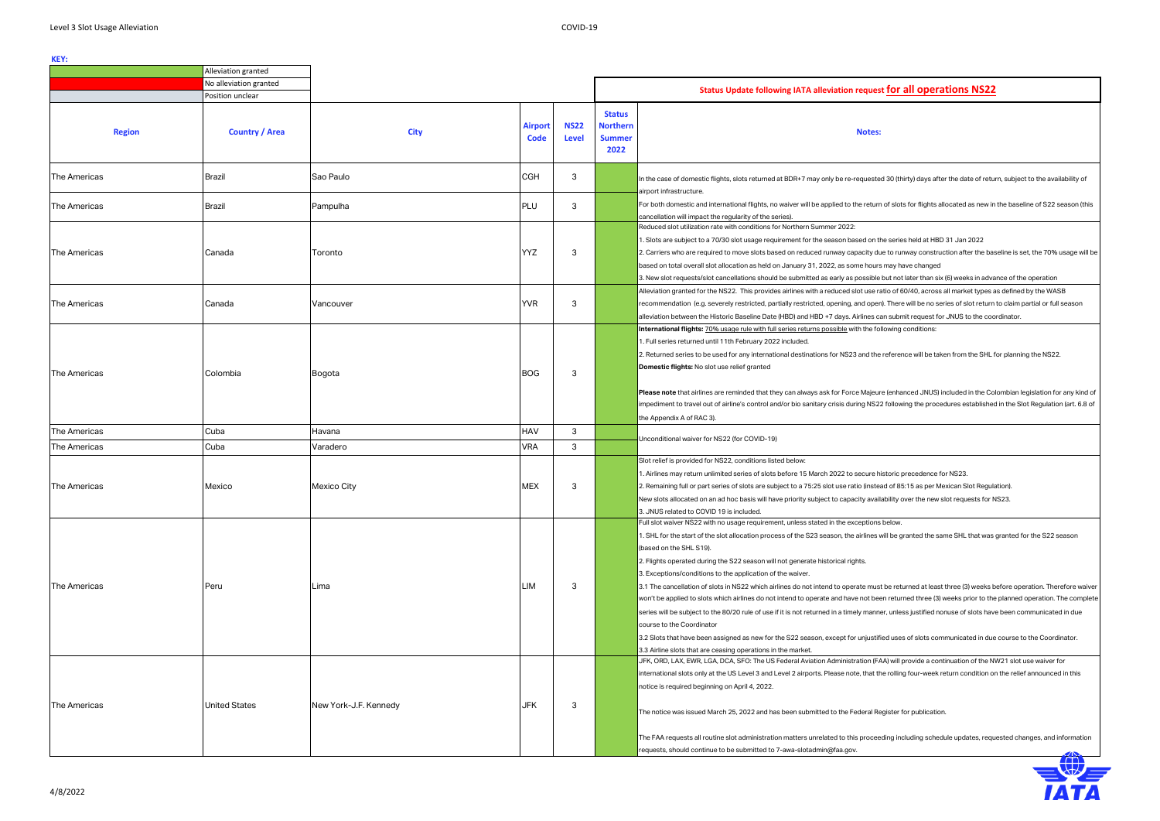### **Notes:**



|                     | Alleviation granted    |                       |                               |                             |                                                           |                                                                                                                                                                                                                                                                                                                                                                                                                                                                                                                                                                                                                                                                                                                                                                                                                                                                                                                                                                                                                                                                                                                                                               |
|---------------------|------------------------|-----------------------|-------------------------------|-----------------------------|-----------------------------------------------------------|---------------------------------------------------------------------------------------------------------------------------------------------------------------------------------------------------------------------------------------------------------------------------------------------------------------------------------------------------------------------------------------------------------------------------------------------------------------------------------------------------------------------------------------------------------------------------------------------------------------------------------------------------------------------------------------------------------------------------------------------------------------------------------------------------------------------------------------------------------------------------------------------------------------------------------------------------------------------------------------------------------------------------------------------------------------------------------------------------------------------------------------------------------------|
|                     | No alleviation granted |                       |                               |                             |                                                           | Status Update following IATA alleviation request for all operations NS22                                                                                                                                                                                                                                                                                                                                                                                                                                                                                                                                                                                                                                                                                                                                                                                                                                                                                                                                                                                                                                                                                      |
|                     | Position unclear       |                       |                               |                             |                                                           |                                                                                                                                                                                                                                                                                                                                                                                                                                                                                                                                                                                                                                                                                                                                                                                                                                                                                                                                                                                                                                                                                                                                                               |
| <b>Region</b>       | <b>Country / Area</b>  | <b>City</b>           | <b>Airport</b><br><b>Code</b> | <b>NS22</b><br><b>Level</b> | <b>Status</b><br><b>Northern</b><br><b>Summer</b><br>2022 | <b>Notes:</b>                                                                                                                                                                                                                                                                                                                                                                                                                                                                                                                                                                                                                                                                                                                                                                                                                                                                                                                                                                                                                                                                                                                                                 |
| The Americas        | Brazil                 | Sao Paulo             | <b>CGH</b>                    | 3                           |                                                           | In the case of domestic flights, slots returned at BDR+7 may only be re-requested 30 (thirty) days after the date of return, subject to the availability of<br>airport infrastructure.                                                                                                                                                                                                                                                                                                                                                                                                                                                                                                                                                                                                                                                                                                                                                                                                                                                                                                                                                                        |
| The Americas        | Brazil                 | Pampulha              | PLU                           | 3                           |                                                           | For both domestic and international flights, no waiver will be applied to the return of slots for flights allocated as new in the baseline of S22 season (th<br>cancellation will impact the regularity of the series)                                                                                                                                                                                                                                                                                                                                                                                                                                                                                                                                                                                                                                                                                                                                                                                                                                                                                                                                        |
| The Americas        | Canada                 | Toronto               | <b>YYZ</b>                    | -3                          |                                                           | Reduced slot utilization rate with conditions for Northern Summer 2022:<br>1. Slots are subject to a 70/30 slot usage requirement for the season based on the series held at HBD 31 Jan 2022<br>2. Carriers who are required to move slots based on reduced runway capacity due to runway construction after the baseline is set, the 70% usage will<br>based on total overall slot allocation as held on January 31, 2022, as some hours may have changed<br>3. New slot requests/slot cancellations should be submitted as early as possible but not later than six (6) weeks in advance of the operation                                                                                                                                                                                                                                                                                                                                                                                                                                                                                                                                                   |
| <b>The Americas</b> | Canada                 | Vancouver             | <b>YVR</b>                    | 3                           |                                                           | Alleviation granted for the NS22. This provides airlines with a reduced slot use ratio of 60/40, across all market types as defined by the WASB<br>recommendation (e.g. severely restricted, partially restricted, opening, and open). There will be no series of slot return to claim partial or full season<br>alleviation between the Historic Baseline Date (HBD) and HBD +7 days. Airlines can submit request for JNUS to the coordinator.                                                                                                                                                                                                                                                                                                                                                                                                                                                                                                                                                                                                                                                                                                               |
| The Americas        | Colombia               | Bogota                | <b>BOG</b>                    | -3                          |                                                           | International flights: 70% usage rule with full series returns possible with the following conditions:<br>1. Full series returned until 11th February 2022 included.<br>2. Returned series to be used for any international destinations for NS23 and the reference will be taken from the SHL for planning the NS22.<br>Domestic flights: No slot use relief granted<br>Please note that airlines are reminded that they can always ask for Force Majeure (enhanced JNUS) included in the Colombian legislation for any kind<br>impediment to travel out of airline's control and/or bio sanitary crisis during NS22 following the procedures established in the Slot Regulation (art. 6.8<br>the Appendix A of RAC 3).                                                                                                                                                                                                                                                                                                                                                                                                                                      |
| <b>The Americas</b> | Cuba                   | Havana                | HAV                           | 3                           |                                                           |                                                                                                                                                                                                                                                                                                                                                                                                                                                                                                                                                                                                                                                                                                                                                                                                                                                                                                                                                                                                                                                                                                                                                               |
| <b>The Americas</b> | Cuba                   | Varadero              | <b>VRA</b>                    | 3                           |                                                           | Unconditional waiver for NS22 (for COVID-19)                                                                                                                                                                                                                                                                                                                                                                                                                                                                                                                                                                                                                                                                                                                                                                                                                                                                                                                                                                                                                                                                                                                  |
| The Americas        | Mexico                 | Mexico City           | <b>MEX</b>                    | 3                           |                                                           | Slot relief is provided for NS22, conditions listed below:<br>1. Airlines may return unlimited series of slots before 15 March 2022 to secure historic precedence for NS23.<br>2. Remaining full or part series of slots are subject to a 75:25 slot use ratio (instead of 85:15 as per Mexican Slot Regulation).<br>New slots allocated on an ad hoc basis will have priority subject to capacity availability over the new slot requests for NS23.<br>3. JNUS related to COVID 19 is included.                                                                                                                                                                                                                                                                                                                                                                                                                                                                                                                                                                                                                                                              |
| The Americas        | Peru                   | Lima                  | LIM                           | -3                          |                                                           | Full slot waiver NS22 with no usage requirement, unless stated in the exceptions below.<br>1. SHL for the start of the slot allocation process of the S23 season, the airlines will be granted the same SHL that was granted for the S22 season<br>(based on the SHL S19).<br>2. Flights operated during the S22 season will not generate historical rights.<br>3. Exceptions/conditions to the application of the waiver.<br>3.1 The cancellation of slots in NS22 which airlines do not intend to operate must be returned at least three (3) weeks before operation. Therefore wair<br>won't be applied to slots which airlines do not intend to operate and have not been returned three (3) weeks prior to the planned operation. The compl<br>series will be subject to the 80/20 rule of use if it is not returned in a timely manner, unless justified nonuse of slots have been communicated in due<br>course to the Coordinator<br>3.2 Slots that have been assigned as new for the S22 season, except for unjustified uses of slots communicated in due course to the Coordinator.<br>3.3 Airline slots that are ceasing operations in the market. |
| The Americas        | <b>United States</b>   | New York-J.F. Kennedy | JFK                           | 3                           |                                                           | JFK, ORD, LAX, EWR, LGA, DCA, SFO: The US Federal Aviation Administration (FAA) will provide a continuation of the NW21 slot use waiver for<br>international slots only at the US Level 3 and Level 2 airports. Please note, that the rolling four-week return condition on the relief announced in this<br>notice is required beginning on April 4, 2022.<br>The notice was issued March 25, 2022 and has been submitted to the Federal Register for publication.<br>The FAA requests all routine slot administration matters unrelated to this proceeding including schedule updates, requested changes, and information<br>requests, should continue to be submitted to 7-awa-slotadmin@faa.gov.                                                                                                                                                                                                                                                                                                                                                                                                                                                           |